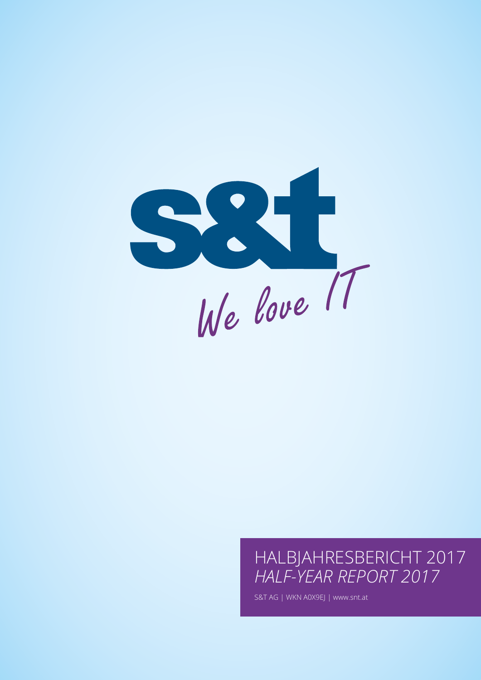

# HALBJAHRESBERICHT 2017 *HALF-YEAR REPORT 2017*

S&T AG | WKN A0X9EJ | www.snt.at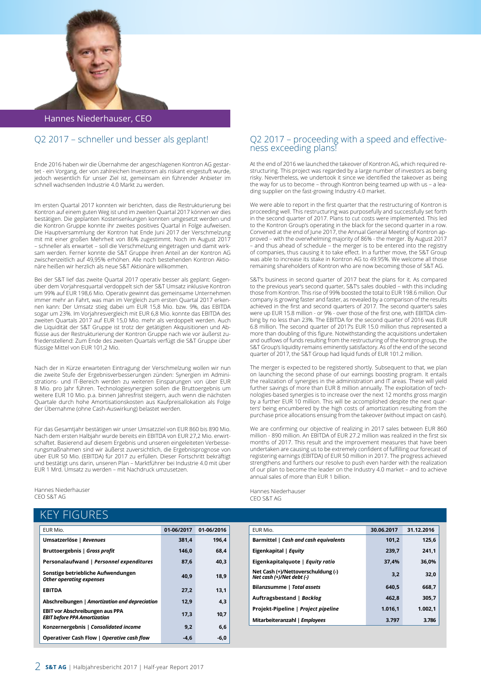

Hannes Niederhauser, CEO

# Q2 2017 – schneller und besser als geplant!

Ende 2016 haben wir die Übernahme der angeschlagenen Kontron AG gestartet - ein Vorgang, der von zahlreichen Investoren als riskant eingestuft wurde, jedoch wesentlich für unser Ziel ist, gemeinsam ein führender Anbieter im schnell wachsenden Industrie 4.0 Markt zu werden.

Im ersten Quartal 2017 konnten wir berichten, dass die Restrukturierung bei Kontron auf einem guten Weg ist und im zweiten Quartal 2017 können wir dies bestätigen. Die geplanten Kostensenkungen konnten umgesetzt werden und die Kontron Gruppe konnte ihr zweites positives Quartal in Folge aufweisen. Die Hauptversammlung der Kontron hat Ende Juni 2017 der Verschmelzung mit mit einer großen Mehrheit von 86% zugestimmt. Noch im August 2017 – schneller als erwartet – soll die Verschmelzung eingetragen und damit wirksam werden. Ferner konnte die S&T Gruppe ihren Anteil an der Kontron AG zwischenzeitlich auf 49,95% erhöhen. Alle noch bestehenden Kontron Aktionäre heißen wir herzlich als neue S&T Aktionäre willkommen.

Bei der S&T lief das zweite Quartal 2017 operativ besser als geplant: Gegenüber dem Vorjahresquartal verdoppelt sich der S&T Umsatz inklusive Kontron um 99% auf EUR 198,6 Mio. Operativ gewinnt das gemeinsame Unternehmen immer mehr an Fahrt, was man im Vergleich zum ersten Quartal 2017 erkennen kann: Der Umsatz stieg dabei um EUR 15,8 Mio. bzw. 9%, das EBITDA sogar um 23%. Im Vorjahresvergleich mit EUR 6,8 Mio. konnte das EBITDA des zweiten Quartals 2017 auf EUR 15,0 Mio. mehr als verdoppelt werden. Auch die Liquidität der S&T Gruppe ist trotz der getätigten Akquisitionen und Abflüsse aus der Restrukturierung der Kontron Gruppe nach wie vor äußerst zufriedenstellend: Zum Ende des zweiten Quartals verfügt die S&T Gruppe über flüssige Mittel von EUR 101,2 Mio.

Nach der in Kürze erwarteten Eintragung der Verschmelzung wollen wir nun die zweite Stufe der Ergebnisverbesserungen zünden: Synergien im Administrations- und IT-Bereich werden zu weiteren Einsparungen von über EUR 8 Mio. pro Jahr führen. Technologiesynergien sollen die Bruttoergebnis um weitere EUR 10 Mio. p.a. binnen Jahresfrist steigern, auch wenn die nächsten Quartale durch hohe Amortisationskosten aus Kaufpreisallokation als Folge der Übernahme (ohne Cash-Auswirkung) belastet werden.

Für das Gesamtjahr bestätigen wir unser Umsatzziel von EUR 860 bis 890 Mio. Nach dem ersten Halbjahr wurde bereits ein EBITDA von EUR 27,2 Mio. erwirtschaftet. Basierend auf diesem Ergebnis und unseren eingeleiteten Verbesserungsmaßnahmen sind wir äußerst zuversichtlich, die Ergebnisprognose von über EUR 50 Mio. (EBITDA) für 2017 zu erfüllen. Dieser Fortschritt bekräftigt und bestätigt uns darin, unseren Plan – Marktführer bei Industrie 4.0 mit über EUR 1 Mrd. Umsatz zu werden – mit Nachdruck umzusetzen.

Hannes Niederhauser CEO S&T AG

# KEY FIGURES

| EUR Mio.                                                                      | 01-06/2017 | 01-06/2016 |
|-------------------------------------------------------------------------------|------------|------------|
| Umsatzerlöse   Revenues                                                       | 381,4      | 196.4      |
| Bruttoergebnis   Gross profit                                                 | 146.0      | 68.4       |
| Personalaufwand   Personnel expenditures                                      | 87.6       | 40.3       |
| Sonstige betriebliche Aufwendungen<br><b>Other operating expenses</b>         | 40.9       | 18.9       |
| <b>EBITDA</b>                                                                 | 27,2       | 13,1       |
| Abschreibungen   Amortization and depreciation                                | 12.9       | 4.3        |
| <b>EBIT vor Abschreibungen aus PPA</b><br><b>EBIT before PPA Amortization</b> | 17.3       | 10.7       |
| Konzernergebnis   Consolidated income                                         | 9,2        | 6,6        |
| Operativer Cash Flow   Operative cash flow                                    | -4,6       | $-6,0$     |

## Q2 2017 – proceeding with a speed and effectiveness exceeding plans!

At the end of 2016 we launched the takeover of Kontron AG, which required restructuring. This project was regarded by a large number of investors as being risky. Nevertheless, we undertook it since we identified the takeover as being the way for us to become – through Kontron being teamed up with us – a leading supplier on the fast-growing Industry 4.0 market.

We were able to report in the first quarter that the restructuring of Kontron is proceeding well. This restructuring was purposefully and successfully set forth in the second quarter of 2017. Plans to cut costs were implemented. This led to the Kontron Group's operating in the black for the second quarter in a row. Convened at the end of June 2017, the Annual General Meeting of Kontron approved – with the overwhelming majority of 86% - the merger. By August 2017 – and thus ahead of schedule – the merger is to be entered into the registry of companies, thus causing it to take effect. In a further move, the S&T Group was able to increase its stake in Kontron AG to 49.95%. We welcome all those remaining shareholders of Kontron who are now becoming those of S&T AG.

S&T's business in second quarter of 2017 beat the plans for it. As compared to the previous year's second quarter, S&T's sales doubled – with this including those from Kontron. This rise of 99% boosted the total to EUR 198.6 million. Our company is growing faster and faster, as revealed by a comparison of the results achieved in the first and second quarters of 2017. The second quarter's sales were up EUR 15.8 million - or 9% - over those of the first one, with EBITDA climbing by no less than 23%. The EBITDA for the second quarter of 2016 was EUR 6.8 million. The second quarter of 2017's EUR 15.0 million thus represented a more than doubling of this figure. Notwithstanding the acquisitions undertaken and outflows of funds resulting from the restructuring of the Kontron group, the S&T Group's liquidity remains eminently satisfactory. As of the end of the second quarter of 2017, the S&T Group had liquid funds of EUR 101.2 million.

The merger is expected to be registered shortly. Subsequent to that, we plan on launching the second phase of our earnings boosting program. It entails the realization of synergies in the administration and IT areas. These will yield further savings of more than EUR 8 million annually. The exploitation of technologies-based synergies is to increase over the next 12 months gross margin by a further EUR 10 million. This will be accomplished despite the next quarters' being encumbered by the high costs of amortization resulting from the purchase price allocations ensuing from the takeover (without impact on cash).

We are confirming our objective of realizing in 2017 sales between EUR 860 million - 890 million. An EBITDA of EUR 27.2 million was realized in the first six months of 2017. This result and the improvement measures that have been undertaken are causing us to be extremely confident of fulfilling our forecast of registering earnings (EBITDA) of EUR 50 million in 2017. The progress achieved strengthens and furthers our resolve to push even harder with the realization of our plan to become the leader on the Industry 4.0 market – and to achieve annual sales of more than EUR 1 billion.

Hannes Niederhauser CEO S&T AG

| EUR Mio.                                                        | 30.06.2017 | 31.12.2016 |
|-----------------------------------------------------------------|------------|------------|
| Barmittel   Cash and cash equivalents                           | 101.2      | 125,6      |
| Eigenkapital   Equity                                           | 239.7      | 241.1      |
| Eigenkapitalquote   Equity ratio                                | 37.4%      | 36,0%      |
| Net Cash (+)/Nettoverschuldung (-)<br>Net cash (+)/Net debt (-) | 3,2        | 32,0       |
| Bilanzsumme   Total assets                                      | 640.5      | 668.7      |
| Auftragsbestand   Backlog                                       | 462.8      | 305.7      |
| Projekt-Pipeline   Project pipeline                             | 1.016.1    | 1.002.1    |
| Mitarbeiteranzahl   Employees                                   | 3.797      | 3.786      |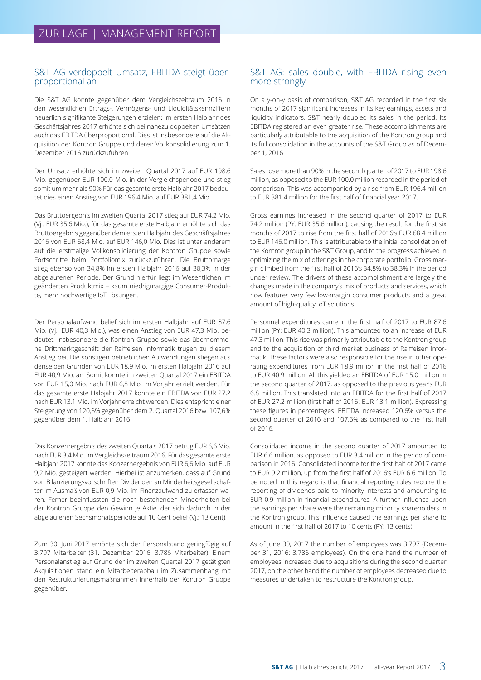### S&T AG verdoppelt Umsatz, EBITDA steigt überproportional an

Die S&T AG konnte gegenüber dem Vergleichszeitraum 2016 in den wesentlichen Ertrags-, Vermögens- und Liquiditätskennziffern neuerlich signifikante Steigerungen erzielen: Im ersten Halbjahr des Geschäftsjahres 2017 erhöhte sich bei nahezu doppelten Umsätzen auch das EBITDA überproportional. Dies ist insbesondere auf die Akquisition der Kontron Gruppe und deren Vollkonsolidierung zum 1. Dezember 2016 zurückzuführen.

Der Umsatz erhöhte sich im zweiten Quartal 2017 auf EUR 198,6 Mio. gegenüber EUR 100,0 Mio. in der Vergleichsperiode und stieg somit um mehr als 90% Für das gesamte erste Halbjahr 2017 bedeutet dies einen Anstieg von EUR 196,4 Mio. auf EUR 381,4 Mio.

Das Bruttoergebnis im zweiten Quartal 2017 stieg auf EUR 74,2 Mio. (Vj.: EUR 35,6 Mio.), für das gesamte erste Halbjahr erhöhte sich das Bruttoergebnis gegenüber dem ersten Halbjahr des Geschäftsjahres 2016 von EUR 68,4 Mio. auf EUR 146,0 Mio. Dies ist unter anderem auf die erstmalige Vollkonsolidierung der Kontron Gruppe sowie Fortschritte beim Portfoliomix zurückzuführen. Die Bruttomarge stieg ebenso von 34,8% im ersten Halbjahr 2016 auf 38,3% in der abgelaufenen Periode. Der Grund hierfür liegt im Wesentlichen im geänderten Produktmix – kaum niedrigmargige Consumer-Produkte, mehr hochwertige IoT Lösungen.

Der Personalaufwand belief sich im ersten Halbjahr auf EUR 87,6 Mio. (Vj.: EUR 40,3 Mio.), was einen Anstieg von EUR 47,3 Mio. bedeutet. Insbesondere die Kontron Gruppe sowie das übernommene Drittmarktgeschäft der Raiffeisen Informatik trugen zu diesem Anstieg bei. Die sonstigen betrieblichen Aufwendungen stiegen aus denselben Gründen von EUR 18,9 Mio. im ersten Halbjahr 2016 auf EUR 40,9 Mio. an. Somit konnte im zweiten Quartal 2017 ein EBITDA von EUR 15,0 Mio. nach EUR 6,8 Mio. im Vorjahr erzielt werden. Für das gesamte erste Halbjahr 2017 konnte ein EBITDA von EUR 27,2 nach EUR 13,1 Mio. im Vorjahr erreicht werden. Dies entspricht einer Steigerung von 120,6% gegenüber dem 2. Quartal 2016 bzw. 107,6% gegenüber dem 1. Halbjahr 2016.

Das Konzernergebnis des zweiten Quartals 2017 betrug EUR 6,6 Mio. nach EUR 3,4 Mio. im Vergleichszeitraum 2016. Für das gesamte erste Halbjahr 2017 konnte das Konzernergebnis von EUR 6,6 Mio. auf EUR 9,2 Mio. gesteigert werden. Hierbei ist anzumerken, dass auf Grund von Bilanzierungsvorschriften Dividenden an Minderheitsgesellschafter im Ausmaß von EUR 0,9 Mio. im Finanzaufwand zu erfassen waren. Ferner beeinflussten die noch bestehenden Minderheiten bei der Kontron Gruppe den Gewinn je Aktie, der sich dadurch in der abgelaufenen Sechsmonatsperiode auf 10 Cent belief (Vj.: 13 Cent).

Zum 30. Juni 2017 erhöhte sich der Personalstand geringfügig auf 3.797 Mitarbeiter (31. Dezember 2016: 3.786 Mitarbeiter). Einem Personalanstieg auf Grund der im zweiten Quartal 2017 getätigten Akquisitionen stand ein Mitarbeiterabbau im Zusammenhang mit den Restrukturierungsmaßnahmen innerhalb der Kontron Gruppe gegenüber.

### S&T AG: sales double, with EBITDA rising even more strongly

On a y-on-y basis of comparison, S&T AG recorded in the first six months of 2017 significant increases in its key earnings, assets and liquidity indicators. S&T nearly doubled its sales in the period. Its EBITDA registered an even greater rise. These accomplishments are particularly attributable to the acquisition of the Kontron group and its full consolidation in the accounts of the S&T Group as of December 1, 2016.

Sales rose more than 90% in the second quarter of 2017 to EUR 198.6 million, as opposed to the EUR 100.0 million recorded in the period of comparison. This was accompanied by a rise from EUR 196.4 million to EUR 381.4 million for the first half of financial year 2017.

Gross earnings increased in the second quarter of 2017 to EUR 74.2 million (PY: EUR 35.6 million), causing the result for the first six months of 2017 to rise from the first half of 2016's EUR 68.4 million to EUR 146.0 million. This is attributable to the initial consolidation of the Kontron group in the S&T Group, and to the progress achieved in optimizing the mix of offerings in the corporate portfolio. Gross margin climbed from the first half of 2016's 34.8% to 38.3% in the period under review. The drivers of these accomplishment are largely the changes made in the company's mix of products and services, which now features very few low-margin consumer products and a great amount of high-quality IoT solutions.

Personnel expenditures came in the first half of 2017 to EUR 87.6 million (PY: EUR 40.3 million). This amounted to an increase of EUR 47.3 million. This rise was primarily attributable to the Kontron group and to the acquisition of third market business of Raiffeisen Informatik. These factors were also responsible for the rise in other operating expenditures from EUR 18.9 million in the first half of 2016 to EUR 40.9 million. All this yielded an EBITDA of EUR 15.0 million in the second quarter of 2017, as opposed to the previous year's EUR 6.8 million. This translated into an EBITDA for the first half of 2017 of EUR 27.2 million (first half of 2016: EUR 13.1 million). Expressing these figures in percentages: EBITDA increased 120.6% versus the second quarter of 2016 and 107.6% as compared to the first half of 2016.

Consolidated income in the second quarter of 2017 amounted to EUR 6.6 million, as opposed to EUR 3.4 million in the period of comparison in 2016. Consolidated income for the first half of 2017 came to EUR 9.2 million, up from the first half of 2016's EUR 6.6 million. To be noted in this regard is that financial reporting rules require the reporting of dividends paid to minority interests and amounting to EUR 0.9 million in financial expenditures. A further influence upon the earnings per share were the remaining minority shareholders in the Kontron group. This influence caused the earnings per share to amount in the first half of 2017 to 10 cents (PY: 13 cents).

As of June 30, 2017 the number of employees was 3.797 (December 31, 2016: 3.786 employees). On the one hand the number of employees increased due to acquisitions during the second quarter 2017, on the other hand the number of employees decreased due to measures undertaken to restructure the Kontron group.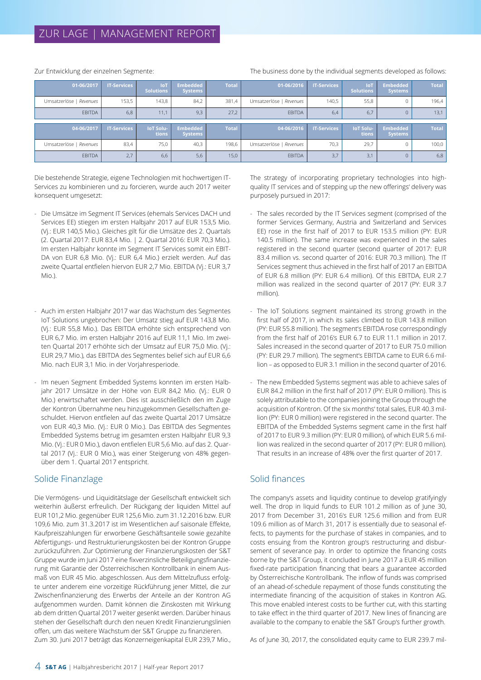# ZUR LAGE | MANAGEMENT REPORT

#### Zur Entwicklung der einzelnen Segmente:

The business done by the individual segments developed as follows:

| 01-06/2017              | <b>IT-Services</b> | <b>IoT</b><br><b>Solutions</b> | <b>Embedded</b><br><b>Systems</b> | <b>Total</b> | 01-06/2016              | <b>IT-Services</b> | <b>IoT</b><br><b>Solutions</b> | <b>Embedded</b><br><b>Systems</b> | <b>Total</b> |
|-------------------------|--------------------|--------------------------------|-----------------------------------|--------------|-------------------------|--------------------|--------------------------------|-----------------------------------|--------------|
| Umsatzerlöse   Revenues | 153,5              | 143,8                          | 84,2                              | 381,4        | Umsatzerlöse   Revenues | 140.5              | 55,8                           |                                   | 196,4        |
| EBITDA                  | 6.8                | 11,1                           | 9,3                               | 27,2         | <b>EBITDA</b>           | 6,4                | 6,7                            |                                   | 13,1         |
|                         |                    |                                |                                   |              |                         |                    |                                |                                   |              |
|                         |                    |                                |                                   |              |                         |                    |                                |                                   |              |
| 04-06/2017              | <b>IT-Services</b> | <b>IoT Solu-</b><br>tions      | <b>Embedded</b><br><b>Systems</b> | <b>Total</b> | 04-06/2016              | <b>IT-Services</b> | <b>IoT Solu-</b><br>tions      | <b>Embedded</b><br><b>Systems</b> | <b>Total</b> |
| Umsatzerlöse   Revenues | 83,4               | 75.0                           | 40,3                              | 198.6        | Umsatzerlöse   Revenues | 70,3               | 29,7                           |                                   | 100,0        |

Die bestehende Strategie, eigene Technologien mit hochwertigen IT-Services zu kombinieren und zu forcieren, wurde auch 2017 weiter konsequent umgesetzt:

- Die Umsätze im Segment IT Services (ehemals Services DACH und Services EE) stiegen im ersten Halbjahr 2017 auf EUR 153,5 Mio. (Vj.: EUR 140,5 Mio.). Gleiches gilt für die Umsätze des 2. Quartals (2. Quartal 2017: EUR 83,4 Mio. | 2. Quartal 2016: EUR 70,3 Mio.). Im ersten Halbjahr konnte im Segment IT Services somit ein EBIT-DA von EUR 6,8 Mio. (Vj.: EUR 6,4 Mio.) erzielt werden. Auf das zweite Quartal entfielen hiervon EUR 2,7 Mio. EBITDA (Vj.: EUR 3,7 Mio.).
- Auch im ersten Halbjahr 2017 war das Wachstum des Segmentes IoT Solutions ungebrochen: Der Umsatz stieg auf EUR 143,8 Mio. (Vj.: EUR 55,8 Mio.). Das EBITDA erhöhte sich entsprechend von EUR 6,7 Mio. im ersten Halbjahr 2016 auf EUR 11,1 Mio. Im zweiten Quartal 2017 erhöhte sich der Umsatz auf EUR 75,0 Mio. (Vj.: EUR 29,7 Mio.), das EBITDA des Segmentes belief sich auf EUR 6,6 Mio. nach EUR 3,1 Mio. in der Vorjahresperiode.
- Im neuen Segment Embedded Systems konnten im ersten Halbjahr 2017 Umsätze in der Höhe von EUR 84,2 Mio. (Vj.: EUR 0 Mio.) erwirtschaftet werden. Dies ist ausschließlich den im Zuge der Kontron Übernahme neu hinzugekommen Gesellschaften geschuldet. Hiervon entfielen auf das zweite Quartal 2017 Umsätze von EUR 40,3 Mio. (Vj.: EUR 0 Mio.). Das EBITDA des Segmentes Embedded Systems betrug im gesamten ersten Halbjahr EUR 9,3 Mio. (Vj.: EUR 0 Mio.), davon entfielen EUR 5,6 Mio. auf das 2. Quartal 2017 (Vj.: EUR 0 Mio.), was einer Steigerung von 48% gegenüber dem 1. Quartal 2017 entspricht.

## Solide Finanzlage

Die Vermögens- und Liquiditätslage der Gesellschaft entwickelt sich weiterhin äußerst erfreulich. Der Rückgang der liquiden Mittel auf EUR 101,2 Mio. gegenüber EUR 125,6 Mio. zum 31.12.2016 bzw. EUR 109,6 Mio. zum 31.3.2017 ist im Wesentlichen auf saisonale Effekte, Kaufpreiszahlungen für erworbene Geschäftsanteile sowie gezahlte Abfertigungs- und Restrukturierungskosten bei der Kontron Gruppe zurückzuführen. Zur Optimierung der Finanzierungskosten der S&T Gruppe wurde im Juni 2017 eine fixverzinsliche Beteiligungsfinanzierung mit Garantie der Österreichischen Kontrollbank in einem Ausmaß von EUR 45 Mio. abgeschlossen. Aus dem Mittelzufluss erfolgte unter anderem eine vorzeitige Rückführung jener Mittel, die zur Zwischenfinanzierung des Erwerbs der Anteile an der Kontron AG aufgenommen wurden. Damit können die Zinskosten mit Wirkung ab dem dritten Quartal 2017 weiter gesenkt werden. Darüber hinaus stehen der Gesellschaft durch den neuen Kredit Finanzierungslinien offen, um das weitere Wachstum der S&T Gruppe zu finanzieren. Zum 30. Juni 2017 beträgt das Konzerneigenkapital EUR 239,7 Mio.,

The strategy of incorporating proprietary technologies into highquality IT services and of stepping up the new offerings' delivery was purposely pursued in 2017:

- The sales recorded by the IT Services segment (comprised of the former Services Germany, Austria and Switzerland and Services EE) rose in the first half of 2017 to EUR 153.5 million (PY: EUR 140.5 million). The same increase was experienced in the sales registered in the second quarter (second quarter of 2017: EUR 83.4 million vs. second quarter of 2016: EUR 70.3 million). The IT Services segment thus achieved in the first half of 2017 an EBITDA of EUR 6.8 million (PY: EUR 6.4 million). Of this EBITDA, EUR 2.7 million was realized in the second quarter of 2017 (PY: EUR 3.7 million).
- The IoT Solutions segment maintained its strong growth in the first half of 2017, in which its sales climbed to EUR 143.8 million (PY: EUR 55.8 million). The segment's EBITDA rose correspondingly from the first half of 2016's EUR 6.7 to EUR 11.1 million in 2017. Sales increased in the second quarter of 2017 to EUR 75.0 million (PY: EUR 29.7 million). The segment's EBITDA came to EUR 6.6 million – as opposed to EUR 3.1 million in the second quarter of 2016.
- The new Embedded Systems segment was able to achieve sales of EUR 84.2 million in the first half of 2017 (PY: EUR 0 million). This is solely attributable to the companies joining the Group through the acquisition of Kontron. Of the six months' total sales, EUR 40.3 million (PY: EUR 0 million) were registered in the second quarter. The EBITDA of the Embedded Systems segment came in the first half of 2017 to EUR 9.3 million (PY: EUR 0 million), of which EUR 5.6 million was realized in the second quarter of 2017 (PY: EUR 0 million). That results in an increase of 48% over the first quarter of 2017.

# Solid finances

The company's assets and liquidity continue to develop gratifyingly well. The drop in liquid funds to EUR 101.2 million as of June 30, 2017 from December 31, 2016's EUR 125.6 million and from EUR 109.6 million as of March 31, 2017 is essentially due to seasonal effects, to payments for the purchase of stakes in companies, and to costs ensuing from the Kontron group's restructuring and disbursement of severance pay. In order to optimize the financing costs borne by the S&T Group, it concluded in June 2017 a EUR 45 million fixed-rate participation financing that bears a guarantee accorded by Österreichische Kontrollbank. The inflow of funds was comprised of an ahead-of-schedule repayment of those funds constituting the intermediate financing of the acquisition of stakes in Kontron AG. This move enabled interest costs to be further cut, with this starting to take effect in the third quarter of 2017. New lines of financing are available to the company to enable the S&T Group's further growth.

As of June 30, 2017, the consolidated equity came to EUR 239.7 mil-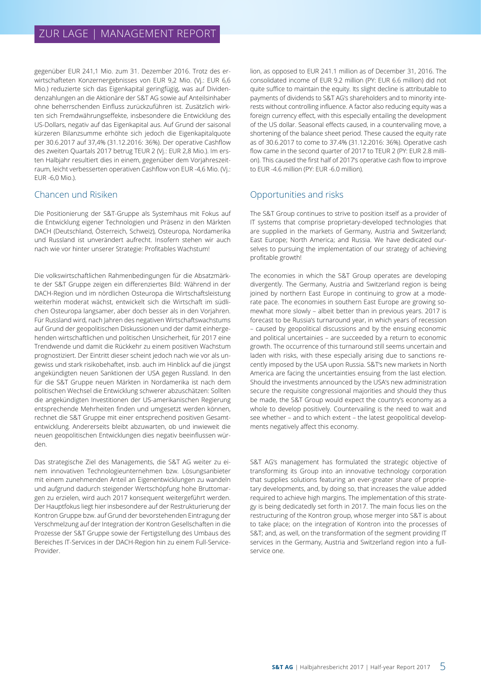gegenüber EUR 241,1 Mio. zum 31. Dezember 2016. Trotz des erwirtschafteten Konzernergebnisses von EUR 9,2 Mio. (Vj.: EUR 6,6 Mio.) reduzierte sich das Eigenkapital geringfügig, was auf Dividendenzahlungen an die Aktionäre der S&T AG sowie auf Anteilsinhaber ohne beherrschenden Einfluss zurückzuführen ist. Zusätzlich wirkten sich Fremdwährungseffekte, insbesondere die Entwicklung des US-Dollars, negativ auf das Eigenkapital aus. Auf Grund der saisonal kürzeren Bilanzsumme erhöhte sich jedoch die Eigenkapitalquote per 30.6.2017 auf 37,4% (31.12.2016: 36%). Der operative Cashflow des zweiten Quartals 2017 betrug TEUR 2 (Vj.: EUR 2,8 Mio.). Im ersten Halbjahr resultiert dies in einem, gegenüber dem Vorjahreszeitraum, leicht verbesserten operativen Cashflow von EUR -4,6 Mio. (Vj.: EUR -6,0 Mio.).

# Chancen und Risiken

Die Positionierung der S&T-Gruppe als Systemhaus mit Fokus auf die Entwicklung eigener Technologien und Präsenz in den Märkten DACH (Deutschland, Österreich, Schweiz), Osteuropa, Nordamerika und Russland ist unverändert aufrecht. Insofern stehen wir auch nach wie vor hinter unserer Strategie: Profitables Wachstum!

Die volkswirtschaftlichen Rahmenbedingungen für die Absatzmärkte der S&T Gruppe zeigen ein differenziertes Bild: Während in der DACH-Region und im nördlichen Osteuropa die Wirtschaftsleistung weiterhin moderat wächst, entwickelt sich die Wirtschaft im südlichen Osteuropa langsamer, aber doch besser als in den Vorjahren. Für Russland wird, nach Jahren des negativen Wirtschaftswachstums auf Grund der geopolitischen Diskussionen und der damit einhergehenden wirtschaftlichen und politischen Unsicherheit, für 2017 eine Trendwende und damit die Rückkehr zu einem positiven Wachstum prognostiziert. Der Eintritt dieser scheint jedoch nach wie vor als ungewiss und stark risikobehaftet, insb. auch im Hinblick auf die jüngst angekündigten neuen Sanktionen der USA gegen Russland. In den für die S&T Gruppe neuen Märkten in Nordamerika ist nach dem politischen Wechsel die Entwicklung schwerer abzuschätzen: Sollten die angekündigten Investitionen der US-amerikanischen Regierung entsprechende Mehrheiten finden und umgesetzt werden können, rechnet die S&T Gruppe mit einer entsprechend positiven Gesamtentwicklung. Andererseits bleibt abzuwarten, ob und inwieweit die neuen geopolitischen Entwicklungen dies negativ beeinflussen würden.

Das strategische Ziel des Managements, die S&T AG weiter zu einem innovativen Technologieunternehmen bzw. Lösungsanbieter mit einem zunehmenden Anteil an Eigenentwicklungen zu wandeln und aufgrund dadurch steigender Wertschöpfung hohe Bruttomargen zu erzielen, wird auch 2017 konsequent weitergeführt werden. Der Hauptfokus liegt hier insbesondere auf der Restrukturierung der Kontron Gruppe bzw. auf Grund der bevorstehenden Eintragung der Verschmelzung auf der Integration der Kontron Gesellschaften in die Prozesse der S&T Gruppe sowie der Fertigstellung des Umbaus des Bereiches IT-Services in der DACH-Region hin zu einem Full-Service-Provider.

lion, as opposed to EUR 241.1 million as of December 31, 2016. The consolidated income of EUR 9.2 million (PY: EUR 6.6 million) did not quite suffice to maintain the equity. Its slight decline is attributable to payments of dividends to S&T AG's shareholders and to minority interests without controlling influence. A factor also reducing equity was a foreign currency effect, with this especially entailing the development of the US dollar. Seasonal effects caused, in a countervailing move, a shortening of the balance sheet period. These caused the equity rate as of 30.6.2017 to come to 37.4% (31.12.2016: 36%). Operative cash flow came in the second quarter of 2017 to TEUR 2 (PY: EUR 2.8 million). This caused the first half of 2017's operative cash flow to improve to EUR -4.6 million (PY: EUR -6.0 million).

# Opportunities and risks

The S&T Group continues to strive to position itself as a provider of IT systems that comprise proprietary-developed technologies that are supplied in the markets of Germany, Austria and Switzerland; East Europe; North America; and Russia. We have dedicated ourselves to pursuing the implementation of our strategy of achieving profitable growth!

The economies in which the S&T Group operates are developing divergently. The Germany, Austria and Switzerland region is being joined by northern East Europe in continuing to grow at a moderate pace. The economies in southern East Europe are growing somewhat more slowly – albeit better than in previous years. 2017 is forecast to be Russia's turnaround year, in which years of recession – caused by geopolitical discussions and by the ensuing economic and political uncertainies – are succeeded by a return to economic growth. The occurrence of this turnaround still seems uncertain and laden with risks, with these especially arising due to sanctions recently imposed by the USA upon Russia. S&T's new markets in North America are facing the uncertainties ensuing from the last election. Should the investments announced by the USA's new administration secure the requisite congressional majorities and should they thus be made, the S&T Group would expect the country's economy as a whole to develop positively. Countervailing is the need to wait and see whether – and to which extent – the latest geopolitical developments negatively affect this economy.

S&T AG's management has formulated the strategic objective of transforming its Group into an innovative technology corporation that supplies solutions featuring an ever-greater share of proprietary developments, and, by doing so, that increases the value added required to achieve high margins. The implementation of this strategy is being dedicatedly set forth in 2017. The main focus lies on the restructuring of the Kontron group, whose merger into S&T is about to take place; on the integration of Kontron into the processes of S&T; and, as well, on the transformation of the segment providing IT services in the Germany, Austria and Switzerland region into a fullservice one.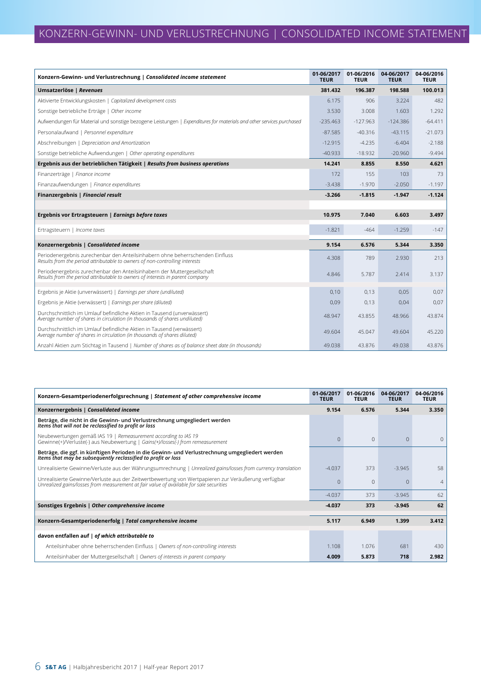| Konzern-Gewinn- und Verlustrechnung   Consolidated income statement                                                                                          | 01-06/2017<br><b>TEUR</b> | 01-06/2016<br><b>TEUR</b> | 04-06/2017<br><b>TEUR</b> | 04-06/2016<br><b>TEUR</b> |
|--------------------------------------------------------------------------------------------------------------------------------------------------------------|---------------------------|---------------------------|---------------------------|---------------------------|
| Umsatzerlöse   Revenues                                                                                                                                      | 381.432                   | 196.387                   | 198.588                   | 100.013                   |
| Aktivierte Entwicklungskosten   Capitalized development costs                                                                                                | 6.175                     | 906                       | 3.224                     | 482                       |
| Sonstige betriebliche Erträge   Other income                                                                                                                 | 3.530                     | 3.008                     | 1.603                     | 1.292                     |
| Aufwendungen für Material und sonstige bezogene Leistungen   Expenditures for materials and other services purchased                                         | $-235.463$                | $-127.963$                | $-124.386$                | $-64.411$                 |
| Personalaufwand   Personnel expenditure                                                                                                                      | $-87.585$                 | $-40.316$                 | $-43.115$                 | $-21.073$                 |
| Abschreibungen   Depreciation and Amortization                                                                                                               | $-12.915$                 | $-4.235$                  | $-6.404$                  | $-2.188$                  |
| Sonstige betriebliche Aufwendungen   Other operating expenditures                                                                                            | $-40.933$                 | $-18.932$                 | $-20.960$                 | $-9.494$                  |
| Ergebnis aus der betrieblichen Tätigkeit   Results from business operations                                                                                  | 14.241                    | 8.855                     | 8.550                     | 4.621                     |
| Finanzerträge   Finance income                                                                                                                               | 172                       | 155                       | 103                       | 73                        |
| Finanzaufwendungen   Finance expenditures                                                                                                                    | $-3.438$                  | $-1.970$                  | $-2.050$                  | $-1.197$                  |
| Finanzergebnis   Financial result                                                                                                                            | $-3.266$                  | $-1.815$                  | $-1.947$                  | $-1.124$                  |
|                                                                                                                                                              |                           |                           |                           |                           |
| Ergebnis vor Ertragsteuern   Earnings before taxes                                                                                                           | 10.975                    | 7.040                     | 6.603                     | 3.497                     |
| Ertragsteuern   Income taxes                                                                                                                                 | $-1.821$                  | $-464$                    | $-1.259$                  | $-147$                    |
| Konzernergebnis   Consolidated income                                                                                                                        | 9.154                     | 6.576                     | 5.344                     | 3.350                     |
| Periodenergebnis zurechenbar den Anteilsinhabern ohne beherrschenden Einfluss<br>Results from the period attributable to owners of non-controlling interests | 4.308                     | 789                       | 2.930                     | 213                       |
| Periodenergebnis zurechenbar den Anteilsinhabern der Muttergesellschaft<br>Results from the period attributable to owners of interests in parent company     | 4.846                     | 5.787                     | 2.414                     | 3.137                     |
| Ergebnis je Aktie (unverwässert)   Earnings per share (undiluted)                                                                                            | 0.10                      | 0.13                      | 0.05                      | 0,07                      |
| Ergebnis je Aktie (verwässert)   Earnings per share (diluted)                                                                                                | 0.09                      | 0.13                      | 0.04                      | 0,07                      |
| Durchschnittlich im Umlauf befindliche Aktien in Tausend (unverwässert)<br>Average number of shares in circulation (in thousands of shares undiluted)        | 48.947                    | 43.855                    | 48.966                    | 43.874                    |
| Durchschnittlich im Umlauf befindliche Aktien in Tausend (verwässert)<br>Average number of shares in circulation (in thousands of shares diluted)            | 49.604                    | 45.047                    | 49.604                    | 45.220                    |
| Anzahl Aktien zum Stichtag in Tausend   Number of shares as of balance sheet date (in thousands)                                                             | 49.038                    | 43.876                    | 49.038                    | 43.876                    |

| Konzern-Gesamtperiodenerfolgsrechnung   Statement of other comprehensive income                                                                                                                | 01-06/2017<br><b>TEUR</b> | 01-06/2016<br><b>TEUR</b> | 04-06/2017<br><b>TEUR</b> | 04-06/2016<br><b>TEUR</b> |
|------------------------------------------------------------------------------------------------------------------------------------------------------------------------------------------------|---------------------------|---------------------------|---------------------------|---------------------------|
| Konzernergebnis   Consolidated income                                                                                                                                                          | 9.154                     | 6.576                     | 5.344                     | 3.350                     |
| Beträge, die nicht in die Gewinn- und Verlustrechnung umgegliedert werden<br>Items that will not be reclassified to profit or loss                                                             |                           |                           |                           |                           |
| Neubewertungen gemäß IAS 19   Remeasurement according to IAS 19<br>Gewinne(+)/Verluste(-) aus Neubewertung   Gains(+)/losses(-) from remeasurement                                             | $\Omega$                  | $\Omega$                  | $\Omega$                  | $\Omega$                  |
| Beträge, die ggf. in künftigen Perioden in die Gewinn- und Verlustrechnung umgegliedert werden<br>Items that may be subsequently reclassified to profit or loss                                |                           |                           |                           |                           |
| Unrealisierte Gewinne/Verluste aus der Währungsumrechnung   Unrealized gains/losses from currency translation                                                                                  | $-4.037$                  | 373                       | $-3.945$                  | 58                        |
| Unrealisierte Gewinne/Verluste aus der Zeitwertbewertung von Wertpapieren zur Veräußerung verfügbar<br>Unrealized gains/losses from measurement at fair value of available for sale securities | U                         | $\Omega$                  | $\Omega$                  | $\overline{4}$            |
|                                                                                                                                                                                                | $-4.037$                  | 373                       | $-3.945$                  | 62                        |
| Sonstiges Ergebnis   Other comprehensive income                                                                                                                                                | $-4.037$                  | 373                       | $-3.945$                  | 62                        |
| Konzern-Gesamtperiodenerfolg   Total comprehensive income                                                                                                                                      | 5.117                     | 6.949                     | 1.399                     | 3.412                     |
| davon entfallen auf   of which attributable to                                                                                                                                                 |                           |                           |                           |                           |
| Anteilsinhaber ohne beherrschenden Einfluss   Owners of non-controlling interests                                                                                                              | 1.108                     | 1.076                     | 681                       | 430                       |
| Anteilsinhaber der Muttergesellschaft   Owners of interests in parent company                                                                                                                  | 4.009                     | 5.873                     | 718                       | 2.982                     |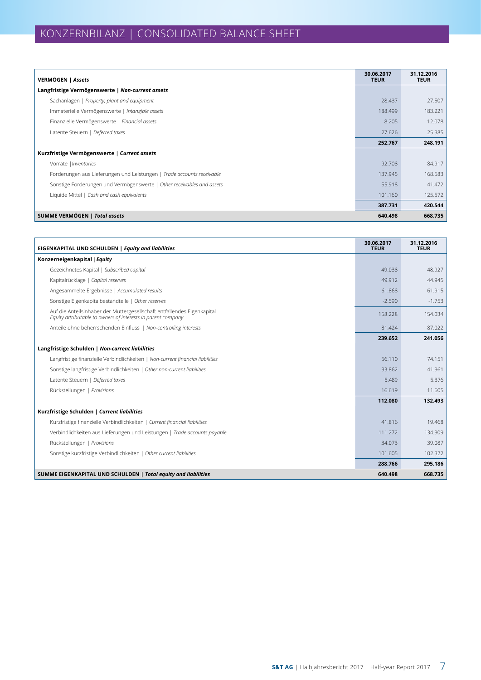| VERMÖGEN   Assets                                                      | 30.06.2017<br><b>TEUR</b> | 31.12.2016<br><b>TEUR</b> |
|------------------------------------------------------------------------|---------------------------|---------------------------|
| Langfristige Vermögenswerte   Non-current assets                       |                           |                           |
| Sachanlagen   Property, plant and equipment                            | 28.437                    | 27.507                    |
| Immaterielle Vermögenswerte   Intangible assets                        | 188.499                   | 183.221                   |
| Finanzielle Vermögenswerte   Financial assets                          | 8.205                     | 12.078                    |
| Latente Steuern   Deferred taxes                                       | 27.626                    | 25.385                    |
|                                                                        | 252.767                   | 248.191                   |
| Kurzfristige Vermögenswerte   Current assets                           |                           |                           |
| Vorräte   Inventories                                                  | 92.708                    | 84.917                    |
| Forderungen aus Lieferungen und Leistungen   Trade accounts receivable | 137.945                   | 168.583                   |
| Sonstige Forderungen und Vermögenswerte   Other receivables and assets | 55.918                    | 41.472                    |
| Liquide Mittel   Cash and cash equivalents                             | 101.160                   | 125.572                   |
|                                                                        | 387.731                   | 420.544                   |
| <b>SUMME VERMÖGEN   Total assets</b>                                   | 640.498                   | 668.735                   |

| EIGENKAPITAL UND SCHULDEN   Equity and liabilities                                                                                      | 30.06.2017<br><b>TEUR</b> | 31.12.2016<br><b>TEUR</b> |
|-----------------------------------------------------------------------------------------------------------------------------------------|---------------------------|---------------------------|
| Konzerneigenkapital   Equity                                                                                                            |                           |                           |
| Gezeichnetes Kapital   Subscribed capital                                                                                               | 49.038                    | 48.927                    |
| Kapitalrücklage   Capital reserves                                                                                                      | 49.912                    | 44.945                    |
| Angesammelte Ergebnisse   Accumulated results                                                                                           | 61.868                    | 61.915                    |
| Sonstige Eigenkapitalbestandteile   Other reserves                                                                                      | $-2.590$                  | $-1.753$                  |
| Auf die Anteilsinhaber der Muttergesellschaft entfallendes Eigenkapital<br>Equity attributable to owners of interests in parent company | 158.228                   | 154.034                   |
| Anteile ohne beherrschenden Einfluss   Non-controlling interests                                                                        | 81.424                    | 87.022                    |
|                                                                                                                                         | 239.652                   | 241.056                   |
| Langfristige Schulden   Non-current liabilities                                                                                         |                           |                           |
| Langfristige finanzielle Verbindlichkeiten   Non-current financial liabilities                                                          | 56.110                    | 74.151                    |
| Sonstige langfristige Verbindlichkeiten   Other non-current liabilities                                                                 | 33.862                    | 41.361                    |
| Latente Steuern   Deferred taxes                                                                                                        | 5.489                     | 5.376                     |
| Rückstellungen   Provisions                                                                                                             | 16.619                    | 11.605                    |
|                                                                                                                                         | 112.080                   | 132.493                   |
| Kurzfristige Schulden   Current liabilities                                                                                             |                           |                           |
| Kurzfristige finanzielle Verbindlichkeiten   Current financial liabilities                                                              | 41.816                    | 19.468                    |
| Verbindlichkeiten aus Lieferungen und Leistungen   Trade accounts payable                                                               | 111.272                   | 134.309                   |
| Rückstellungen   Provisions                                                                                                             | 34.073                    | 39.087                    |
| Sonstige kurzfristige Verbindlichkeiten   Other current liabilities                                                                     | 101.605                   | 102.322                   |
|                                                                                                                                         | 288.766                   | 295.186                   |
| SUMME EIGENKAPITAL UND SCHULDEN   Total equity and liabilities                                                                          | 640.498                   | 668.735                   |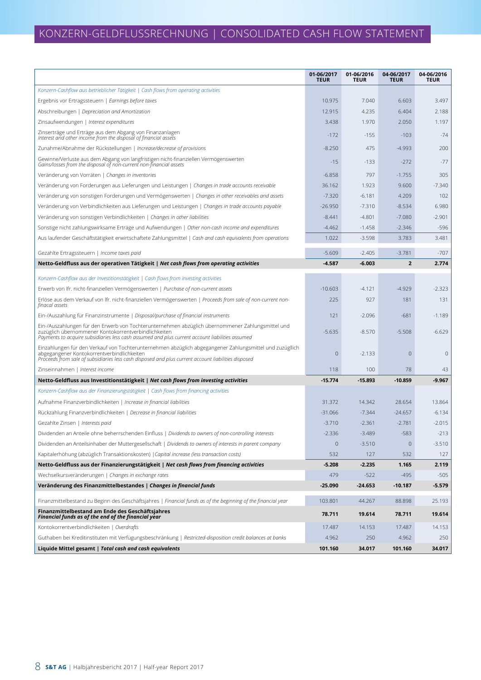|                                                                                                                                                                                                                                                               | 01-06/2017<br><b>TEUR</b> | 01-06/2016<br><b>TEUR</b> | 04-06/2017<br><b>TEUR</b> | 04-06/2016<br><b>TEUR</b> |
|---------------------------------------------------------------------------------------------------------------------------------------------------------------------------------------------------------------------------------------------------------------|---------------------------|---------------------------|---------------------------|---------------------------|
| Konzern-Cashflow aus betrieblicher Tätigkeit   Cash flows from operating activities                                                                                                                                                                           |                           |                           |                           |                           |
| Ergebnis vor Ertragssteuern   Earnings before taxes                                                                                                                                                                                                           | 10.975                    | 7.040                     | 6.603                     | 3.497                     |
| Abschreibungen   Depreciation and Amortization                                                                                                                                                                                                                | 12.915                    | 4.235                     | 6.404                     | 2.188                     |
| Zinsaufwendungen   Interest expenditures                                                                                                                                                                                                                      | 3.438                     | 1.970                     | 2.050                     | 1.197                     |
| Zinserträge und Erträge aus dem Abgang von Finanzanlagen<br>Interest and other income from the disposal of financial assets                                                                                                                                   | $-172$                    | $-155$                    | $-103$                    | $-74$                     |
| Zunahme/Abnahme der Rückstellungen   Increase/decrease of provisions                                                                                                                                                                                          | $-8.250$                  | 475                       | $-4.993$                  | 200                       |
| Gewinne/Verluste aus dem Abgang von langfristigen nicht-finanziellen Vermögenswerten<br>Gains/losses from the disposal of non-current non-financial assets                                                                                                    | $-15$                     | -133                      | $-272$                    | $-77$                     |
| Veränderung von Vorräten   Changes in inventories                                                                                                                                                                                                             | $-6.858$                  | 797                       | $-1.755$                  | 305                       |
| Veränderung von Forderungen aus Lieferungen und Leistungen   Changes in trade accounts receivable                                                                                                                                                             | 36.162                    | 1.923                     | 9.600                     | $-7.340$                  |
| Veränderung von sonstigen Forderungen und Vermögenswerten   Changes in other receivables and assets                                                                                                                                                           | $-7.320$                  | $-6.181$                  | 4.209                     | 102                       |
| Veränderung von Verbindlichkeiten aus Lieferungen und Leistungen   Changes in trade accounts payable                                                                                                                                                          | $-26.950$                 | $-7.310$                  | $-8.534$                  | 6.980                     |
| Veränderung von sonstigen Verbindlichkeiten   Changes in other liabilities                                                                                                                                                                                    | $-8.441$                  | $-4.801$                  | $-7.080$                  | $-2.901$                  |
| Sonstige nicht zahlungswirksame Erträge und Aufwendungen   Other non-cash income and expenditures                                                                                                                                                             | $-4.462$                  | $-1.458$                  | $-2.346$                  | $-596$                    |
| Aus laufender Geschäftstätigkeit erwirtschaftete Zahlungsmittel   Cash and cash equivalents from operations                                                                                                                                                   | 1.022                     | $-3.598$                  | 3.783                     | 3.481                     |
| Gezahlte Ertragssteuern   Income taxes paid                                                                                                                                                                                                                   | $-5.609$                  | $-2.405$                  | $-3.781$                  | $-707$                    |
| Netto-Geldfluss aus der operativen Tätigkeit   Net cash flows from operating activities                                                                                                                                                                       | $-4.587$                  | $-6.003$                  | $\overline{2}$            | 2.774                     |
| Konzern-Cashflow aus der Investitionstätigkeit   Cash flows from investing activities                                                                                                                                                                         |                           |                           |                           |                           |
| Erwerb von Ifr. nicht-finanziellen Vermögenswerten   Purchase of non-current assets                                                                                                                                                                           | $-10.603$                 | $-4.121$                  | $-4.929$                  | $-2.323$                  |
| Erlöse aus dem Verkauf von Ifr. nicht-finanziellen Vermögenswerten   Proceeds from sale of non-current non-<br>finacal assets                                                                                                                                 | 225                       | 927                       | 181                       | 131                       |
| Ein-/Auszahlung für Finanzinstrumente   Disposal/purchase of financial instruments                                                                                                                                                                            | 121                       | $-2.096$                  | $-681$                    | $-1.189$                  |
| Ein-/Auszahlungen für den Erwerb von Tochterunternehmen abzüglich übernommener Zahlungsmittel und<br>zuzüglich übernommener Kontokorrentverbindlichkeiten<br>Payments to acquire subsidiaries less cash assumed and plus current account liabilities assumed  | $-5.635$                  | $-8.570$                  | $-5.508$                  | $-6.629$                  |
| Einzahlungen für den Verkauf von Tochterunternehmen abzüglich abgegangener Zahlungsmittel und zuzügllich<br>abgegangener Kontokorrentverbindlichkeiten<br>Proceeds from sale of subsidiaries less cash disposed and plus current account liabilities disposed | 0                         | $-2.133$                  | $\mathbf 0$               | $\mathbf{0}$              |
| Zinseinnahmen   Interest income                                                                                                                                                                                                                               | 118                       | 100                       | 78                        | 43                        |
| Netto-Geldfluss aus Investitionstätigkeit   Net cash flows from investing activities                                                                                                                                                                          | $-15.774$                 | $-15.893$                 | $-10.859$                 | $-9.967$                  |
| Konzern-Cashflow aus der Finanzierungstätigkeit   Cash flows from financing activities                                                                                                                                                                        |                           |                           |                           |                           |
| Aufnahme Finanzverbindlichkeiten   Increase in financial liabilities                                                                                                                                                                                          | 31.372                    | 14.342                    | 28.654                    | 13.864                    |
| Rückzahlung Finanzverbindlichkeiten   Decrease in financial liabilities                                                                                                                                                                                       | $-31.066$                 | $-7.344$                  | $-24.657$                 | $-6.134$                  |
| Gezahlte Zinsen   Interests paid                                                                                                                                                                                                                              | $-3.710$                  | $-2.361$                  | $-2.781$                  | $-2.015$                  |
| Dividenden an Anteile ohne beherrschenden Einfluss   Dividends to owners of non-controlling interests                                                                                                                                                         | $-2.336$                  | $-3.489$                  | $-583$                    | $-213$                    |
| Dividenden an Anteilsinhaber der Muttergesellschaft   Dividends to owners of interests in parent company                                                                                                                                                      | 0                         | $-3.510$                  | $\mathbf 0$               | $-3.510$                  |
| Kapitalerhöhung (abzüglich Transaktionskosten)   Capital increase (less transaction costs)                                                                                                                                                                    | 532                       | 127                       | 532                       | 127                       |
| Netto-Geldfluss aus der Finanzierungstätigkeit   Net cash flows from financing activities                                                                                                                                                                     | $-5.208$                  | -2.235                    | 1.165                     | 2.119                     |
| Wechselkursveränderungen   Changes in exchange rates                                                                                                                                                                                                          | 479                       | $-522$                    | $-495$                    | $-505$                    |
| Veränderung des Finanzmittelbestandes   Changes in financial funds                                                                                                                                                                                            | $-25.090$                 | $-24.653$                 | $-10.187$                 | $-5.579$                  |
| Finanzmittelbestand zu Beginn des Geschäftsjahres   Financial funds as of the beginning of the financial year                                                                                                                                                 | 103.801                   | 44.267                    | 88.898                    | 25.193                    |
| Finanzmittelbestand am Ende des Geschäftsjahres<br>Financial funds as of the end of the financial year                                                                                                                                                        | 78.711                    | 19.614                    | 78.711                    | 19.614                    |
| Kontokorrentverbindlichkeiten   Overdrafts                                                                                                                                                                                                                    | 17.487                    | 14.153                    | 17.487                    | 14.153                    |
| Guthaben bei Kreditinstituten mit Verfügungsbeschränkung   Restricted-disposition credit balances at banks                                                                                                                                                    | 4.962                     | 250                       | 4.962                     | 250                       |
| Liquide Mittel gesamt   Total cash and cash equivalents                                                                                                                                                                                                       | 101.160                   | 34.017                    | 101.160                   | 34.017                    |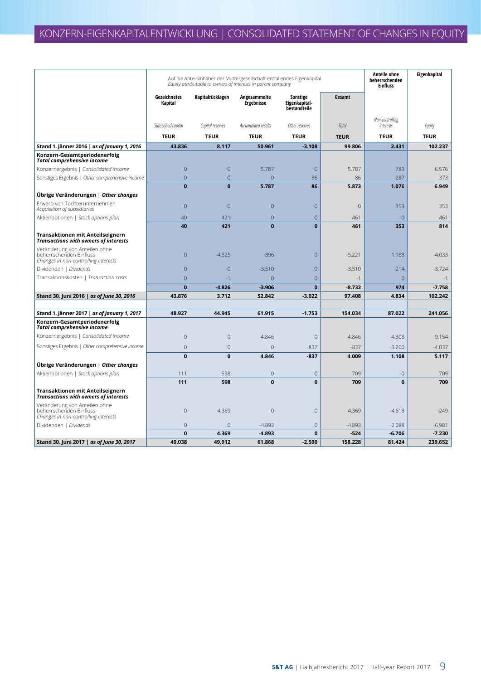|                                                                                                  |                         |                  | Auf die Anteilsinhaber der Muttergesellschaft entfallendes Eigenkapital<br>Equity attributable to owners of interests in parent company |                                           |             | Anteile ohne<br>beherrschenden<br><b>Einfluss</b> | Eigenkapital |
|--------------------------------------------------------------------------------------------------|-------------------------|------------------|-----------------------------------------------------------------------------------------------------------------------------------------|-------------------------------------------|-------------|---------------------------------------------------|--------------|
|                                                                                                  | Gezeichnetes<br>Kapital | Kapitalrücklagen | Angesammelte<br>Ergebnisse                                                                                                              | Sonstige<br>Eigenkapital-<br>bestandteile | Gesamt      |                                                   |              |
|                                                                                                  | Subscribed capital      | Capital reserves | Accumulated results                                                                                                                     | Other reserves                            | Total       | Non-controlling<br>interests                      | Equity       |
|                                                                                                  | <b>TEUR</b>             | <b>TEUR</b>      | <b>TEUR</b>                                                                                                                             | <b>TEUR</b>                               | <b>TEUR</b> | <b>TEUR</b>                                       | <b>TEUR</b>  |
| Stand 1. Jänner 2016   as of January 1, 2016                                                     | 43.836                  | 8.117            | 50.961                                                                                                                                  | $-3.108$                                  | 99.806      | 2.431                                             | 102.237      |
| Konzern-Gesamtperiodenerfolg<br><b>Total comprehensive income</b>                                |                         |                  |                                                                                                                                         |                                           |             |                                                   |              |
| Konzernergebnis   Consolidated income                                                            | $\overline{0}$          | $\overline{0}$   | 5.787                                                                                                                                   | $\overline{0}$                            | 5.787       | 789                                               | 6.576        |
| Sonstiges Ergebnis   Other comprehensive income                                                  | $\overline{0}$          | $\Omega$         | $\mathbf{0}$                                                                                                                            | 86                                        | 86          | 287                                               | 373          |
|                                                                                                  | $\Omega$                | $\mathbf{0}$     | 5.787                                                                                                                                   | 86                                        | 5.873       | 1.076                                             | 6.949        |
| Ubrige Veränderungen   Other changes                                                             |                         |                  |                                                                                                                                         |                                           |             |                                                   |              |
| Erwerb von Tochterunternehmen<br>Acquisition of subsidiaries                                     | $\overline{0}$          | $\overline{0}$   | $\mathbf{0}$                                                                                                                            | $\theta$                                  | $\mathbf 0$ | 353                                               | 353          |
| Aktienoptionen   Stock options plan                                                              | 40                      | 421              | $\theta$                                                                                                                                | $\theta$                                  | 461         | $\overline{0}$                                    | 461          |
|                                                                                                  | 40                      | 421              | $\mathbf{0}$                                                                                                                            | $\mathbf{0}$                              | 461         | 353                                               | 814          |
| Transaktionen mit Anteilseignern<br><b>Transactions with owners of interests</b>                 |                         |                  |                                                                                                                                         |                                           |             |                                                   |              |
| Veränderung von Anteilen ohne<br>beherrschenden Einfluss<br>Changes in non-controlling interests | $\overline{0}$          | $-4.825$         | $-396$                                                                                                                                  | $\overline{0}$                            | $-5.221$    | 1.188                                             | $-4.033$     |
| Dividenden   Dividends                                                                           | $\overline{0}$          | $\overline{0}$   | $-3.510$                                                                                                                                | $\overline{0}$                            | $-3.510$    | $-214$                                            | $-3.724$     |
| Transaktionskosten   Transaction costs                                                           | $\overline{0}$          | $-1$             | $\overline{0}$                                                                                                                          | $\overline{0}$                            | $-1$        | $\overline{0}$                                    | $-1$         |
|                                                                                                  | $\mathbf{0}$            | $-4.826$         | $-3.906$                                                                                                                                | $\mathbf 0$                               | $-8.732$    | 974                                               | $-7.758$     |
| Stand 30. Juni 2016   as of June 30, 2016                                                        | 43.876                  | 3.712            | 52.842                                                                                                                                  | $-3.022$                                  | 97.408      | 4.834                                             | 102.242      |
|                                                                                                  |                         |                  |                                                                                                                                         |                                           |             |                                                   |              |
| Stand 1. Jänner 2017   as of January 1, 2017                                                     | 48.927                  | 44.945           | 61.915                                                                                                                                  | $-1.753$                                  | 154.034     | 87.022                                            | 241.056      |
| Konzern-Gesamtperiodenerfolg<br><b>Total comprehensive income</b>                                |                         |                  |                                                                                                                                         |                                           |             |                                                   |              |
| Konzernergebnis   Consolidated income                                                            | $\overline{0}$          | $\Omega$         | 4.846                                                                                                                                   | $\overline{0}$                            | 4.846       | 4.308                                             | 9.154        |
| Sonstiges Ergebnis   Other comprehensive income                                                  | $\overline{0}$          | $\mathbf{0}$     | $\overline{0}$                                                                                                                          | $-837$                                    | $-837$      | $-3.200$                                          | $-4.037$     |
|                                                                                                  | $\mathbf{0}$            | $\mathbf{0}$     | 4.846                                                                                                                                   | $-837$                                    | 4.009       | 1.108                                             | 5.117        |
| Übrige Veränderungen   Other changes                                                             |                         |                  |                                                                                                                                         |                                           |             |                                                   |              |
| Aktienoptionen   Stock options plan                                                              | 111                     | 598              | $\mathbf{0}$                                                                                                                            | $\theta$                                  | 709         | $\overline{0}$                                    | 709          |
|                                                                                                  | 111                     | 598              | $\mathbf{0}$                                                                                                                            | $\mathbf{0}$                              | 709         | $\mathbf{0}$                                      | 709          |
| Transaktionen mit Anteilseignern<br><b>Transactions with owners of interests</b>                 |                         |                  |                                                                                                                                         |                                           |             |                                                   |              |
| Veränderung von Anteilen ohne<br>beherrschenden Einfluss<br>Changes in non-controlling interests | $\mathbf 0$             | 4.369            | $\circ$                                                                                                                                 | $\theta$                                  | 4.369       | $-4.618$                                          | $-249$       |
| Dividenden   Dividends                                                                           | $\overline{0}$          | $\mathbf{0}$     | $-4.893$                                                                                                                                | $\overline{0}$                            | $-4.893$    | $-2.088$                                          | $-6.981$     |
|                                                                                                  | $\mathbf{0}$            | 4.369            | $-4.893$                                                                                                                                | $\mathbf{0}$                              | $-524$      | $-6.706$                                          | $-7.230$     |
| Stand 30. Juni 2017   as of June 30, 2017                                                        | 49.038                  | 49.912           | 61.868                                                                                                                                  | $-2.590$                                  | 158.228     | 81.424                                            | 239.652      |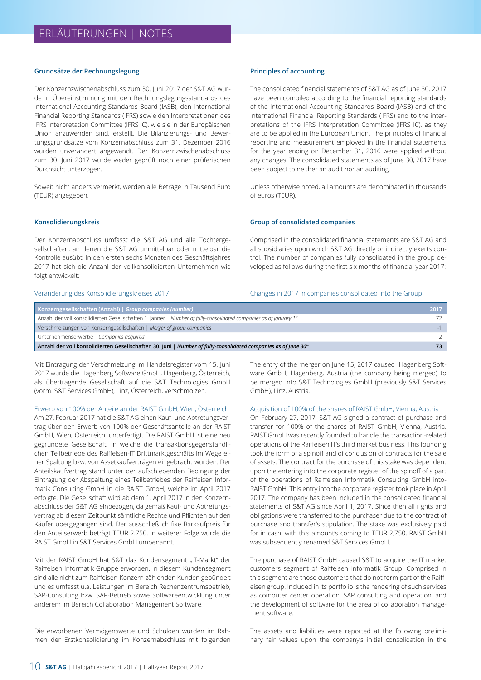#### **Grundsätze der Rechnungslegung**

Der Konzernzwischenabschluss zum 30. Juni 2017 der S&T AG wurde in Übereinstimmung mit den Rechnungslegungsstandards des International Accounting Standards Board (IASB), den International Financial Reporting Standards (IFRS) sowie den Interpretationen des IFRS Interpretation Committee (IFRS IC), wie sie in der Europäischen Union anzuwenden sind, erstellt. Die Bilanzierungs- und Bewertungsgrundsätze vom Konzernabschluss zum 31. Dezember 2016 wurden unverändert angewandt. Der Konzernzwischenabschluss zum 30. Juni 2017 wurde weder geprüft noch einer prüferischen Durchsicht unterzogen.

Soweit nicht anders vermerkt, werden alle Beträge in Tausend Euro (TEUR) angegeben.

#### **Konsolidierungskreis**

Der Konzernabschluss umfasst die S&T AG und alle Tochtergesellschaften, an denen die S&T AG unmittelbar oder mittelbar die Kontrolle ausübt. In den ersten sechs Monaten des Geschäftsjahres 2017 hat sich die Anzahl der vollkonsolidierten Unternehmen wie folgt entwickelt:

#### Veränderung des Konsolidierungskreises 2017

#### **Principles of accounting**

The consolidated financial statements of S&T AG as of June 30, 2017 have been compiled according to the financial reporting standards of the International Accounting Standards Board (IASB) and of the International Financial Reporting Standards (IFRS) and to the interpretations of the IFRS Interpretation Committee (IFRS IC), as they are to be applied in the European Union. The principles of financial reporting and measurement employed in the financial statements for the year ending on December 31, 2016 were applied without any changes. The consolidated statements as of June 30, 2017 have been subject to neither an audit nor an auditing.

Unless otherwise noted, all amounts are denominated in thousands of euros (TEUR).

#### **Group of consolidated companies**

Comprised in the consolidated financial statements are S&T AG and all subsidiaries upon which S&T AG directly or indirectly exerts control. The number of companies fully consolidated in the group developed as follows during the first six months of financial year 2017:

#### Changes in 2017 in companies consolidated into the Group

| Konzerngesellschaften (Anzahl)   Group companies (number)                                                                   | 2017 |
|-----------------------------------------------------------------------------------------------------------------------------|------|
| Anzahl der voll konsolidierten Gesellschaften 1. Jänner   Number of fully-consolidated companies as of January 1st          |      |
| Verschmelzungen von Konzerngesellschaften   Merger of group companies                                                       |      |
| Unternehmenserwerbe   Companies acquired                                                                                    |      |
| Anzahl der voll konsolidierten Gesellschaften 30. Juni   Number of fully-consolidated companies as of June 30 <sup>th</sup> |      |

Mit Eintragung der Verschmelzung im Handelsregister vom 15. Juni 2017 wurde die Hagenberg Software GmbH, Hagenberg, Österreich, als übertragende Gesellschaft auf die S&T Technologies GmbH (vorm. S&T Services GmbH), Linz, Österreich, verschmolzen.

Erwerb von 100% der Anteile an der RAIST GmbH, Wien, Österreich

Am 27. Februar 2017 hat die S&T AG einen Kauf- und Abtretungsvertrag über den Erwerb von 100% der Geschäftsanteile an der RAIST GmbH, Wien, Österreich, unterfertigt. Die RAIST GmbH ist eine neu gegründete Gesellschaft, in welche die transaktionsgegenständlichen Teilbetriebe des Raiffeisen-IT Drittmarktgeschäfts im Wege einer Spaltung bzw. von Assetkaufverträgen eingebracht wurden. Der Anteilskaufvertrag stand unter der aufschiebenden Bedingung der Eintragung der Abspaltung eines Teilbetriebes der Raiffeisen Informatik Consulting GmbH in die RAIST GmbH, welche im April 2017 erfolgte. Die Gesellschaft wird ab dem 1. April 2017 in den Konzernabschluss der S&T AG einbezogen, da gemäß Kauf- und Abtretungsvertrag ab diesem Zeitpunkt sämtliche Rechte und Pflichten auf den Käufer übergegangen sind. Der ausschließlich fixe Barkaufpreis für den Anteilserwerb beträgt TEUR 2.750. In weiterer Folge wurde die RAIST GmbH in S&T Services GmbH umbenannt.

Mit der RAIST GmbH hat S&T das Kundensegment "IT-Markt" der Raiffeisen Informatik Gruppe erworben. In diesem Kundensegment sind alle nicht zum Raiffeisen-Konzern zählenden Kunden gebündelt und es umfasst u.a. Leistungen im Bereich Rechenzentrumsbetrieb, SAP-Consulting bzw. SAP-Betrieb sowie Softwareentwicklung unter anderem im Bereich Collaboration Management Software.

Die erworbenen Vermögenswerte und Schulden wurden im Rahmen der Erstkonsolidierung im Konzernabschluss mit folgenden The entry of the merger on June 15, 2017 caused Hagenberg Software GmbH, Hagenberg, Austria (the company being merged) to be merged into S&T Technologies GmbH (previously S&T Services GmbH), Linz, Austria.

#### Acquisition of 100% of the shares of RAIST GmbH, Vienna, Austria

On February 27, 2017, S&T AG signed a contract of purchase and transfer for 100% of the shares of RAIST GmbH, Vienna, Austria. RAIST GmbH was recently founded to handle the transaction-related operations of the Raiffeisen IT's third market business. This founding took the form of a spinoff and of conclusion of contracts for the sale of assets. The contract for the purchase of this stake was dependent upon the entering into the corporate register of the spinoff of a part of the operations of Raiffeisen Informatik Consulting GmbH into-RAIST GmbH. This entry into the corporate register took place in April 2017. The company has been included in the consolidated financial statements of S&T AG since April 1, 2017. Since then all rights and obligations were transferred to the purchaser due to the contract of purchase and transfer's stipulation. The stake was exclusively paid for in cash, with this amount's coming to TEUR 2,750. RAIST GmbH was subsequently renamed S&T Services GmbH.

The purchase of RAIST GmbH caused S&T to acquire the IT market customers segment of Raiffeisen Informatik Group. Comprised in this segment are those customers that do not form part of the Raiffeisen group. Included in its portfolio is the rendering of such services as computer center operation, SAP consulting and operation, and the development of software for the area of collaboration management software.

The assets and liabilities were reported at the following preliminary fair values upon the company's initial consolidation in the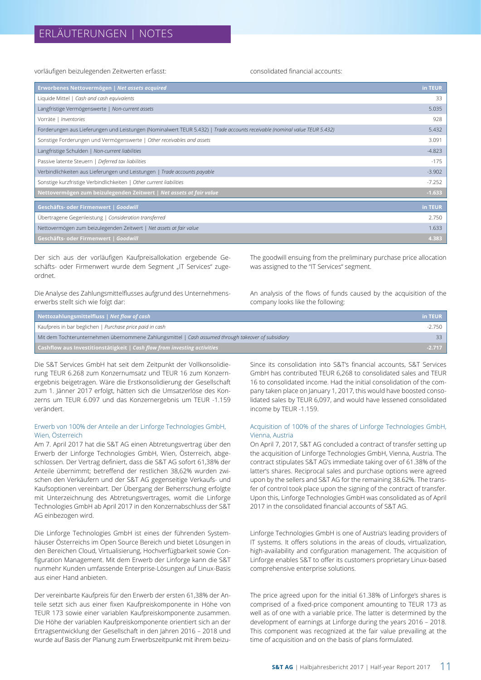#### vorläufigen beizulegenden Zeitwerten erfasst:

consolidated financial accounts:

| Erworbenes Nettovermögen   Net assets acquired                                                                             | in TEUR  |
|----------------------------------------------------------------------------------------------------------------------------|----------|
| Liquide Mittel   Cash and cash equivalents                                                                                 | 33       |
| Langfristige Vermögenswerte   Non-current assets                                                                           | 5.035    |
| Vorräte   Inventories                                                                                                      | 928      |
| Forderungen aus Lieferungen und Leistungen (Nominalwert TEUR 5.432)   Trade accounts receivable (nominal value TEUR 5.432) | 5.432    |
| Sonstige Forderungen und Vermögenswerte   Other receivables and assets                                                     | 3.091    |
| Langfristige Schulden   Non-current liabilities                                                                            | $-4.823$ |
| Passive latente Steuern   Deferred tax liabilities                                                                         | $-175$   |
| Verbindlichkeiten aus Lieferungen und Leistungen   Trade accounts payable                                                  | $-3.902$ |
| Sonstige kurzfristige Verbindlichkeiten   Other current liabilities                                                        | $-7.252$ |
| Nettovermögen zum beizulegenden Zeitwert   Net assets at fair value                                                        | $-1.633$ |
| Geschäfts- oder Firmenwert   Goodwill                                                                                      | in TEUR  |
| Übertragene Gegenleistung   Consideration transferred                                                                      | 2.750    |
| Nettovermögen zum beizulegenden Zeitwert   Net assets at fair value                                                        | 1.633    |
| Geschäfts- oder Firmenwert   Goodwill                                                                                      | 4.383    |

Der sich aus der vorläufigen Kaufpreisallokation ergebende Geschäfts- oder Firmenwert wurde dem Segment "IT Services" zugeordnet.

Die Analyse des Zahlungsmittelflusses aufgrund des Unternehmenserwerbs stellt sich wie folgt dar:

The goodwill ensuing from the preliminary purchase price allocation was assigned to the "IT Services" segment.

An analysis of the flows of funds caused by the acquisition of the company looks like the following:

| Nettozahlungsmittelfluss   Net flow of cash                                                         | in TEUR  |
|-----------------------------------------------------------------------------------------------------|----------|
| Kaufpreis in bar beglichen   Purchase price paid in cash                                            | -2.750   |
| Mit dem Tochterunternehmen übernommene Zahlungsmittel   Cash assumed through takeover of subsidiary | 33       |
| <b>Cashflow aus Investitionstätigkeit</b> $ $ Cash flow from investing activities                   | $-2.717$ |

Die S&T Services GmbH hat seit dem Zeitpunkt der Vollkonsolidierung TEUR 6.268 zum Konzernumsatz und TEUR 16 zum Konzernergebnis beigetragen. Wäre die Erstkonsolidierung der Gesellschaft zum 1. Jänner 2017 erfolgt, hätten sich die Umsatzerlöse des Konzerns um TEUR 6.097 und das Konzernergebnis um TEUR -1.159 verändert.

#### Erwerb von 100% der Anteile an der Linforge Technologies GmbH, Wien, Österreich

Am 7. April 2017 hat die S&T AG einen Abtretungsvertrag über den Erwerb der Linforge Technologies GmbH, Wien, Österreich, abgeschlossen. Der Vertrag definiert, dass die S&T AG sofort 61,38% der Anteile übernimmt; betreffend der restlichen 38,62% wurden zwischen den Verkäufern und der S&T AG gegenseitige Verkaufs- und Kaufsoptionen vereinbart. Der Übergang der Beherrschung erfolgte mit Unterzeichnung des Abtretungsvertrages, womit die Linforge Technologies GmbH ab April 2017 in den Konzernabschluss der S&T AG einbezogen wird.

Die Linforge Technologies GmbH ist eines der führenden Systemhäuser Österreichs im Open Source Bereich und bietet Lösungen in den Bereichen Cloud, Virtualisierung, Hochverfügbarkeit sowie Configuration Management. Mit dem Erwerb der Linforge kann die S&T nunmehr Kunden umfassende Enterprise-Lösungen auf Linux-Basis aus einer Hand anbieten.

Der vereinbarte Kaufpreis für den Erwerb der ersten 61,38% der Anteile setzt sich aus einer fixen Kaufpreiskomponente in Höhe von TEUR 173 sowie einer variablen Kaufpreiskomponente zusammen. Die Höhe der variablen Kaufpreiskomponente orientiert sich an der Ertragsentwicklung der Gesellschaft in den Jahren 2016 – 2018 und wurde auf Basis der Planung zum Erwerbszeitpunkt mit ihrem beizuSince its consolidation into S&T's financial accounts, S&T Services GmbH has contributed TEUR 6,268 to consolidated sales and TEUR 16 to consolidated income. Had the initial consolidation of the company taken place on January 1, 2017, this would have boosted consolidated sales by TEUR 6,097, and would have lessened consolidated income by TEUR -1.159.

#### Acquisition of 100% of the shares of Linforge Technologies GmbH, Vienna, Austria

On April 7, 2017, S&T AG concluded a contract of transfer setting up the acquisition of Linforge Technologies GmbH, Vienna, Austria. The contract stipulates S&T AG's immediate taking over of 61.38% of the latter's shares. Reciprocal sales and purchase options were agreed upon by the sellers and S&T AG for the remaining 38.62%. The transfer of control took place upon the signing of the contract of transfer. Upon this, Linforge Technologies GmbH was consolidated as of April 2017 in the consolidated financial accounts of S&T AG.

Linforge Technologies GmbH is one of Austria's leading providers of IT systems. It offers solutions in the areas of clouds, virtualization, high-availability and configuration management. The acquisition of Linforge enables S&T to offer its customers proprietary Linux-based comprehensive enterprise solutions.

The price agreed upon for the initial 61.38% of Linforge's shares is comprised of a fixed-price component amounting to TEUR 173 as well as of one with a variable price. The latter is determined by the development of earnings at Linforge during the years 2016 – 2018. This component was recognized at the fair value prevailing at the time of acquisition and on the basis of plans formulated.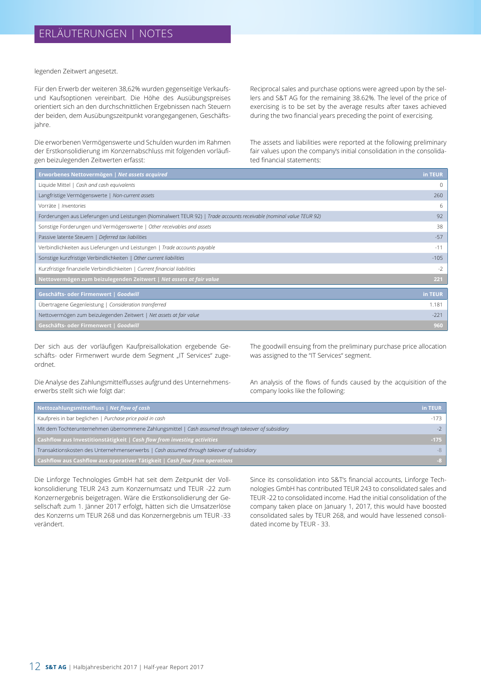legenden Zeitwert angesetzt.

Für den Erwerb der weiteren 38,62% wurden gegenseitige Verkaufsund Kaufsoptionen vereinbart. Die Höhe des Ausübungspreises orientiert sich an den durchschnittlichen Ergebnissen nach Steuern der beiden, dem Ausübungszeitpunkt vorangegangenen, Geschäftsjahre.

Die erworbenen Vermögenswerte und Schulden wurden im Rahmen der Erstkonsolidierung im Konzernabschluss mit folgenden vorläufigen beizulegenden Zeitwerten erfasst:

Reciprocal sales and purchase options were agreed upon by the sellers and S&T AG for the remaining 38.62%. The level of the price of exercising is to be set by the average results after taxes achieved during the two financial years preceding the point of exercising.

The assets and liabilities were reported at the following preliminary fair values upon the company's initial consolidation in the consolidated financial statements:

| Erworbenes Nettovermögen   Net assets acquired                                                                       | in TEUR      |
|----------------------------------------------------------------------------------------------------------------------|--------------|
| Liquide Mittel   Cash and cash equivalents                                                                           | $\mathbf{0}$ |
| Langfristige Vermögenswerte   Non-current assets                                                                     | 260          |
| Vorräte   Inventories                                                                                                | 6            |
| Forderungen aus Lieferungen und Leistungen (Nominalwert TEUR 92)   Trade accounts receivable (nominal value TEUR 92) | 92           |
| Sonstige Forderungen und Vermögenswerte   Other receivables and assets                                               | 38           |
| Passive latente Steuern   Deferred tax liabilities                                                                   | $-57$        |
| Verbindlichkeiten aus Lieferungen und Leistungen   Trade accounts payable                                            | $-11$        |
| Sonstige kurzfristige Verbindlichkeiten   Other current liabilities                                                  | $-105$       |
| Kurzfristige finanzielle Verbindlichkeiten   Current financial liabilities                                           | $-2$         |
| Nettovermögen zum beizulegenden Zeitwert   Net assets at fair value                                                  | 221          |
| Geschäfts- oder Firmenwert   Goodwill                                                                                | in TEUR      |
| Übertragene Gegenleistung   Consideration transferred                                                                | 1.181        |
| Nettovermögen zum beizulegenden Zeitwert   Net assets at fair value                                                  | $-221$       |
| Geschäfts- oder Firmenwert   Goodwill                                                                                | 960          |

Der sich aus der vorläufigen Kaufpreisallokation ergebende Geschäfts- oder Firmenwert wurde dem Segment "IT Services" zugeordnet.

The goodwill ensuing from the preliminary purchase price allocation was assigned to the "IT Services" segment.

Die Analyse des Zahlungsmittelflusses aufgrund des Unternehmenserwerbs stellt sich wie folgt dar:

An analysis of the flows of funds caused by the acquisition of the company looks like the following:

| Nettozahlungsmittelfluss   Net flow of cash                                                         | in TEUR |
|-----------------------------------------------------------------------------------------------------|---------|
| Kaufpreis in bar beglichen   Purchase price paid in cash                                            | $-173$  |
| Mit dem Tochterunternehmen übernommene Zahlungsmittel   Cash assumed through takeover of subsidiary |         |
| Cashflow aus Investitionstätigkeit   Cash flow from investing activities                            | $-175$  |
| Transaktionskosten des Unternehmenserwerbs   Cash assumed through takeover of subsidiary            | $-8$    |
| Cashflow aus Cashflow aus operativer Tätigkeit   Cash flow from operations                          |         |

Die Linforge Technologies GmbH hat seit dem Zeitpunkt der Vollkonsolidierung TEUR 243 zum Konzernumsatz und TEUR -22 zum Konzernergebnis beigetragen. Wäre die Erstkonsolidierung der Gesellschaft zum 1. Jänner 2017 erfolgt, hätten sich die Umsatzerlöse des Konzerns um TEUR 268 und das Konzernergebnis um TEUR -33 verändert.

Since its consolidation into S&T's financial accounts, Linforge Technologies GmbH has contributed TEUR 243 to consolidated sales and TEUR -22 to consolidated income. Had the initial consolidation of the company taken place on January 1, 2017, this would have boosted consolidated sales by TEUR 268, and would have lessened consolidated income by TEUR - 33.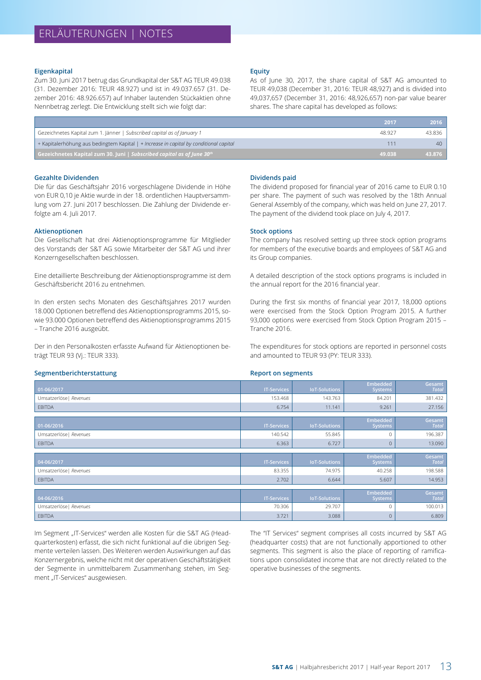#### **Eigenkapital**

Zum 30. Juni 2017 betrug das Grundkapital der S&T AG TEUR 49.038 (31. Dezember 2016: TEUR 48.927) und ist in 49.037.657 (31. Dezember 2016: 48.926.657) auf Inhaber lautenden Stückaktien ohne Nennbetrag zerlegt. Die Entwicklung stellt sich wie folgt dar:

#### **Equity**

As of June 30, 2017, the share capital of S&T AG amounted to TEUR 49,038 (December 31, 2016: TEUR 48,927) and is divided into 49,037,657 (December 31, 2016: 48,926,657) non-par value bearer shares. The share capital has developed as follows:

|                                                                                        | 2017   | 2016   |
|----------------------------------------------------------------------------------------|--------|--------|
| Gezeichnetes Kapital zum 1. Jänner   Subscribed capital as of January 1                | 48.927 | 43.836 |
| + Kapitalerhöhung aus bedingtem Kapital   + Increase in capital by conditional capital |        | 40     |
| Gezeichnetes Kapital zum 30. Juni   Subscribed capital as of June 30th                 | 49.038 | 43.876 |

#### **Gezahlte Dividenden**

Die für das Geschäftsjahr 2016 vorgeschlagene Dividende in Höhe von EUR 0,10 je Aktie wurde in der 18. ordentlichen Hauptversammlung vom 27. Juni 2017 beschlossen. Die Zahlung der Dividende erfolgte am 4. Juli 2017.

#### **Aktienoptionen**

Die Gesellschaft hat drei Aktienoptionsprogramme für Mitglieder des Vorstands der S&T AG sowie Mitarbeiter der S&T AG und ihrer Konzerngesellschaften beschlossen.

Eine detaillierte Beschreibung der Aktienoptionsprogramme ist dem Geschäftsbericht 2016 zu entnehmen.

In den ersten sechs Monaten des Geschäftsjahres 2017 wurden 18.000 Optionen betreffend des Aktienoptionsprogramms 2015, sowie 93.000 Optionen betreffend des Aktienoptionsprogramms 2015 – Tranche 2016 ausgeübt.

Der in den Personalkosten erfasste Aufwand für Aktienoptionen beträgt TEUR 93 (Vj.: TEUR 333).

#### **Dividends paid**

The dividend proposed for financial year of 2016 came to EUR 0.10 per share. The payment of such was resolved by the 18th Annual General Assembly of the company, which was held on June 27, 2017. The payment of the dividend took place on July 4, 2017.

#### **Stock options**

**Report on segments**

The company has resolved setting up three stock option programs for members of the executive boards and employees of S&T AG and its Group companies.

A detailed description of the stock options programs is included in the annual report for the 2016 financial year.

During the first six months of financial year 2017, 18,000 options were exercised from the Stock Option Program 2015. A further 93,000 options were exercised from Stock Option Program 2015 – Tranche 2016.

The expenditures for stock options are reported in personnel costs and amounted to TEUR 93 (PY: TEUR 333).

#### **Segmentberichterstattung**

| $01 - 06/2017$          | <b>IT-Services</b> | <b>IoT-Solutions</b> | <b>Embedded</b><br><b>Systems</b> | Gesamt<br><b>Total</b> |
|-------------------------|--------------------|----------------------|-----------------------------------|------------------------|
| Umsatzerlöse   Revenues | 153.468            | 143.763              | 84.201                            | 381.432                |
| <b>EBITDA</b>           | 6.754              | 11.141               | 9.261                             | 27.156                 |
|                         |                    |                      |                                   |                        |
| $01 - 06/2016$          | <b>IT-Services</b> | <b>IoT-Solutions</b> | <b>Embedded</b><br><b>Systems</b> | Gesamt<br><b>Total</b> |
| Umsatzerlöse   Revenues | 140.542            | 55.845               | 0                                 | 196.387                |
| <b>EBITDA</b>           | 6.363              | 6.727                | $\mathbf{0}$                      | 13.090                 |
|                         |                    |                      |                                   |                        |
| 04-06/2017              | <b>IT-Services</b> | <b>IoT-Solutions</b> | <b>Embedded</b><br><b>Systems</b> | Gesamt<br><b>Total</b> |
| Umsatzerlöse   Revenues | 83.355             | 74.975               | 40.258                            | 198.588                |
| <b>EBITDA</b>           | 2.702              | 6.644                | 5.607                             | 14.953                 |
|                         |                    |                      |                                   |                        |
| 04-06/2016              | <b>IT-Services</b> | loT-Solutions        | Embedded<br><b>Systems</b>        | Gesamt<br><b>Total</b> |
| Umsatzerlöse   Revenues | 70.306             | 29.707               | 0                                 | 100.013                |
| <b>EBITDA</b>           | 3.721              | 3.088                | $\mathbf{0}$                      | 6.809                  |

Im Segment "IT-Services" werden alle Kosten für die S&T AG (Headquarterkosten) erfasst, die sich nicht funktional auf die übrigen Segmente verteilen lassen. Des Weiteren werden Auswirkungen auf das Konzernergebnis, welche nicht mit der operativen Geschäftstätigkeit der Segmente in unmittelbarem Zusammenhang stehen, im Segment "IT-Services" ausgewiesen.

The "IT Services" segment comprises all costs incurred by S&T AG (headquarter costs) that are not functionally apportioned to other segments. This segment is also the place of reporting of ramifications upon consolidated income that are not directly related to the operative businesses of the segments.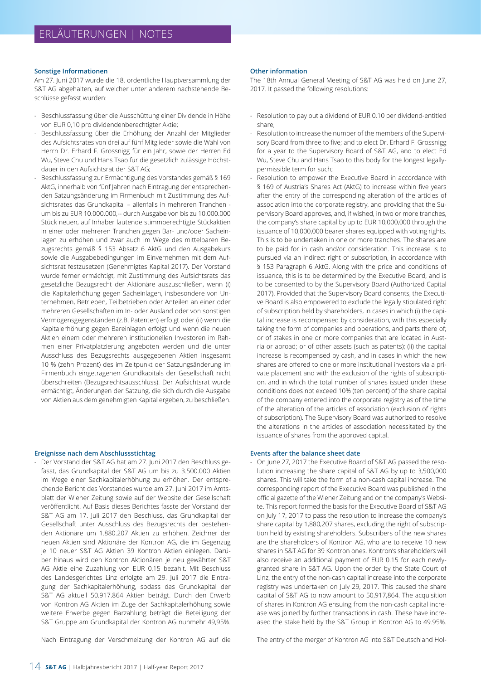#### **Sonstige Informationen**

Am 27. Juni 2017 wurde die 18. ordentliche Hauptversammlung der S&T AG abgehalten, auf welcher unter anderem nachstehende Beschlüsse gefasst wurden:

- Beschlussfassung über die Ausschüttung einer Dividende in Höhe von EUR 0,10 pro dividendenberechtigter Aktie;
- Beschlussfassung über die Erhöhung der Anzahl der Mitglieder des Aufsichtsrates von drei auf fünf Mitglieder sowie die Wahl von Herrn Dr. Erhard F. Grossnigg für ein Jahr, sowie der Herren Ed Wu, Steve Chu und Hans Tsao für die gesetzlich zulässige Höchstdauer in den Aufsichtsrat der S&T AG;
- Beschlussfassung zur Ermächtigung des Vorstandes gemäß § 169 AktG, innerhalb von fünf Jahren nach Eintragung der entsprechenden Satzungsänderung im Firmenbuch mit Zustimmung des Aufsichtsrates das Grundkapital – allenfalls in mehreren Tranchen um bis zu EUR 10.000.000,-- durch Ausgabe von bis zu 10.000.000 Stück neuen, auf Inhaber lautende stimmberechtigte Stückaktien in einer oder mehreren Tranchen gegen Bar- und/oder Sacheinlagen zu erhöhen und zwar auch im Wege des mittelbaren Bezugsrechts gemäß § 153 Absatz 6 AktG und den Ausgabekurs sowie die Ausgabebedingungen im Einvernehmen mit dem Aufsichtsrat festzusetzen (Genehmigtes Kapital 2017). Der Vorstand wurde ferner ermächtigt, mit Zustimmung des Aufsichtsrats das gesetzliche Bezugsrecht der Aktionäre auszuschließen, wenn (i) die Kapitalerhöhung gegen Sacheinlagen, insbesondere von Unternehmen, Betrieben, Teilbetrieben oder Anteilen an einer oder mehreren Gesellschaften im In- oder Ausland oder von sonstigen Vermögensgegenständen (z.B. Patenten) erfolgt oder (ii) wenn die Kapitalerhöhung gegen Bareinlagen erfolgt und wenn die neuen Aktien einem oder mehreren institutionellen Investoren im Rahmen einer Privatplatzierung angeboten werden und die unter Ausschluss des Bezugsrechts ausgegebenen Aktien insgesamt 10 % (zehn Prozent) des im Zeitpunkt der Satzungsänderung im Firmenbuch eingetragenen Grundkapitals der Gesellschaft nicht überschreiten (Bezugsrechtsausschluss). Der Aufsichtsrat wurde ermächtigt, Änderungen der Satzung, die sich durch die Ausgabe von Aktien aus dem genehmigten Kapital ergeben, zu beschließen.

#### **Ereignisse nach dem Abschlussstichtag**

- Der Vorstand der S&T AG hat am 27. Juni 2017 den Beschluss gefasst, das Grundkapital der S&T AG um bis zu 3.500.000 Aktien im Wege einer Sachkapitalerhöhung zu erhöhen. Der entsprechende Bericht des Vorstandes wurde am 27. Juni 2017 im Amtsblatt der Wiener Zeitung sowie auf der Website der Gesellschaft veröffentlicht. Auf Basis dieses Berichtes fasste der Vorstand der S&T AG am 17. Juli 2017 den Beschluss, das Grundkapital der Gesellschaft unter Ausschluss des Bezugsrechts der bestehenden Aktionäre um 1.880.207 Aktien zu erhöhen. Zeichner der neuen Aktien sind Aktionäre der Kontron AG, die im Gegenzug je 10 neuer S&T AG Aktien 39 Kontron Aktien einlegen. Darüber hinaus wird den Kontron Aktionären je neu gewährter S&T AG Aktie eine Zuzahlung von EUR 0,15 bezahlt. Mit Beschluss des Landesgerichtes Linz erfolgte am 29. Juli 2017 die Eintragung der Sachkapitalerhöhung, sodass das Grundkapital der S&T AG aktuell 50.917.864 Aktien beträgt. Durch den Erwerb von Kontron AG Aktien im Zuge der Sachkapitalerhöhung sowie weitere Erwerbe gegen Barzahlung beträgt die Beteiligung der S&T Gruppe am Grundkapital der Kontron AG nunmehr 49,95%.

Nach Eintragung der Verschmelzung der Kontron AG auf die

#### **Other information**

The 18th Annual General Meeting of S&T AG was held on June 27, 2017. It passed the following resolutions:

- Resolution to pay out a dividend of EUR 0.10 per dividend-entitled share;
- Resolution to increase the number of the members of the Supervisory Board from three to five; and to elect Dr. Erhard F. Grossnigg for a year to the Supervisory Board of S&T AG, and to elect Ed Wu, Steve Chu and Hans Tsao to this body for the longest legallypermissible term for such;
- Resolution to empower the Executive Board in accordance with § 169 of Austria's Shares Act (AktG) to increase within five years after the entry of the corresponding alteration of the articles of association into the corporate registry, and providing that the Supervisory Board approves, and, if wished, in two or more tranches, the company's share capital by up to EUR 10,000,000 through the issuance of 10,000,000 bearer shares equipped with voting rights. This is to be undertaken in one or more tranches. The shares are to be paid for in cash and/or consideration. This increase is to pursued via an indirect right of subscription, in accordance with § 153 Paragraph 6 AktG. Along with the price and conditions of issuance, this is to be determined by the Executive Board, and is to be consented to by the Supervisory Board (Authorized Capital 2017). Provided that the Supervisory Board consents, the Executive Board is also empowered to exclude the legally stipulated right of subscription held by shareholders, in cases in which (i) the capital increase is recompensed by consideration, with this especially taking the form of companies and operations, and parts there of; or of stakes in one or more companies that are located in Austria or abroad; or of other assets (such as patents); (ii) the capital increase is recompensed by cash, and in cases in which the new shares are offered to one or more institutional investors via a private placement and with the exclusion of the rights of subscription, and in which the total number of shares issued under these conditions does not exceed 10% (ten percent) of the share capital of the company entered into the corporate registry as of the time of the alteration of the articles of association (exclusion of rights of subscription). The Supervisory Board was authorized to resolve the alterations in the articles of association necessitated by the issuance of shares from the approved capital.

#### **Events after the balance sheet date**

- On June 27, 2017 the Executive Board of S&T AG passed the resolution increasing the share capital of S&T AG by up to 3,500,000 shares. This will take the form of a non-cash capital increase. The corresponding report of the Executive Board was published in the official gazette of the Wiener Zeitung and on the company's Website. This report formed the basis for the Executive Board of S&T AG on July 17, 2017 to pass the resolution to increase the company's share capital by 1,880,207 shares, excluding the right of subscription held by existing shareholders. Subscribers of the new shares are the shareholders of Kontron AG, who are to receive 10 new shares in S&T AG for 39 Kontron ones. Kontron's shareholders will also receive an additional payment of EUR 0.15 for each newlygranted share in S&T AG. Upon the order by the State Court of Linz, the entry of the non-cash capital increase into the corporate registry was undertaken on July 29, 2017. This caused the share capital of S&T AG to now amount to 50,917,864. The acquisition of shares in Kontron AG ensuing from the non-cash capital increase was joined by further transactions in cash. These have increased the stake held by the S&T Group in Kontron AG to 49.95%.

The entry of the merger of Kontron AG into S&T Deutschland Hol-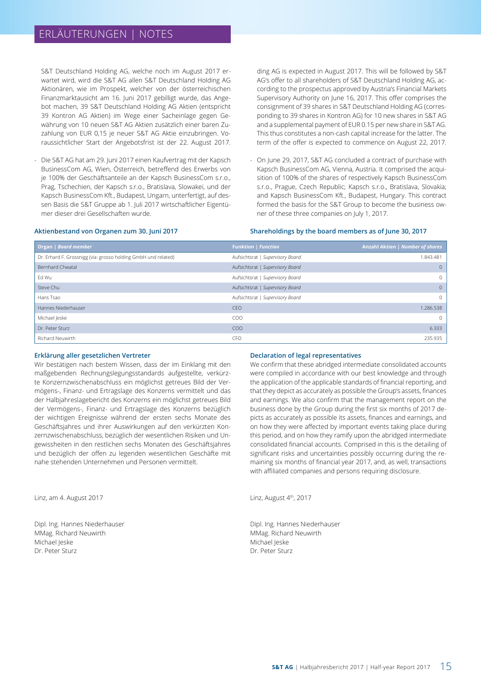S&T Deutschland Holding AG, welche noch im August 2017 erwartet wird, wird die S&T AG allen S&T Deutschland Holding AG Aktionären, wie im Prospekt, welcher von der österreichischen Finanzmarktausicht am 16. Juni 2017 gebilligt wurde, das Angebot machen, 39 S&T Deutschland Holding AG Aktien (entspricht 39 Kontron AG Aktien) im Wege einer Sacheinlage gegen Gewährung von 10 neuen S&T AG Aktien zusätzlich einer baren Zuzahlung von EUR 0,15 je neuer S&T AG Aktie einzubringen. Voraussichtlicher Start der Angebotsfrist ist der 22. August 2017.

- Die S&T AG hat am 29. Juni 2017 einen Kaufvertrag mit der Kapsch BusinessCom AG, Wien, Österreich, betreffend des Erwerbs von je 100% der Geschäftsanteile an der Kapsch BusinessCom s.r.o., Prag, Tschechien, der Kapsch s.r.o., Bratislava, Slowakei, und der Kapsch BusinessCom Kft., Budapest, Ungarn, unterfertigt, auf dessen Basis die S&T Gruppe ab 1. Juli 2017 wirtschaftlicher Eigentümer dieser drei Gesellschaften wurde.

ding AG is expected in August 2017. This will be followed by S&T AG's offer to all shareholders of S&T Deutschland Holding AG, according to the prospectus approved by Austria's Financial Markets Supervisory Authority on June 16, 2017. This offer comprises the consignment of 39 shares in S&T Deutschland Holding AG (corresponding to 39 shares in Kontron AG) for 10 new shares in S&T AG and a supplemental payment of EUR 0.15 per new share in S&T AG. This thus constitutes a non-cash capital increase for the latter. The term of the offer is expected to commence on August 22, 2017.

- On June 29, 2017, S&T AG concluded a contract of purchase with Kapsch BusinessCom AG, Vienna, Austria. It comprised the acquisition of 100% of the shares of respectively Kapsch BusinessCom s.r.o., Prague, Czech Republic; Kapsch s.r.o., Bratislava, Slovakia; and Kapsch BusinessCom Kft., Budapest, Hungary. This contract formed the basis for the S&T Group to become the business owner of these three companies on July 1, 2017.

#### **Aktienbestand von Organen zum 30. Juni 2017**

#### **Shareholdings by the board members as of June 30, 2017**

| Organ   Board member                                           | <b>Funktion   Function</b>       | Anzahl Aktien   Number of shares |
|----------------------------------------------------------------|----------------------------------|----------------------------------|
| Dr. Erhard F. Grossnigg (via: grosso holding GmbH und related) | Aufsichtsrat   Supervisory Board | 1.843.481                        |
| Bernhard Chwatal                                               | Aufsichtsrat   Supervisory Board | $\overline{0}$                   |
| Ed Wu                                                          | Aufsichtsrat   Supervisory Board | $\circ$                          |
| Steve Chu                                                      | Aufsichtsrat   Supervisory Board | $\Omega$                         |
| Hans Tsao                                                      | Aufsichtsrat   Supervisory Board | $\mathbf{0}$                     |
| Hannes Niederhauser                                            | CEO                              | 1.286.538                        |
| Michael Jeske                                                  | COO                              | $\Omega$                         |
| Dr. Peter Sturz                                                | CO <sub>O</sub>                  | 6.333                            |
| Richard Neuwirth                                               | <b>CFO</b>                       | 235.935                          |

#### **Erklärung aller gesetzlichen Vertreter**

Wir bestätigen nach bestem Wissen, dass der im Einklang mit den maßgebenden Rechnungslegungsstandards aufgestellte, verkürzte Konzernzwischenabschluss ein möglichst getreues Bild der Vermögens-, Finanz- und Ertragslage des Konzerns vermittelt und das der Halbjahreslagebericht des Konzerns ein möglichst getreues Bild der Vermögens-, Finanz- und Ertragslage des Konzerns bezüglich der wichtigen Ereignisse während der ersten sechs Monate des Geschäftsjahres und ihrer Auswirkungen auf den verkürzten Konzernzwischenabschluss, bezüglich der wesentlichen Risiken und Ungewissheiten in den restlichen sechs Monaten des Geschäftsjahres und bezüglich der offen zu legenden wesentlichen Geschäfte mit nahe stehenden Unternehmen und Personen vermittelt.

Linz, am 4. August 2017

Dipl. Ing. Hannes Niederhauser MMag. Richard Neuwirth Michael Jeske Dr. Peter Sturz

#### **Declaration of legal representatives**

We confirm that these abridged intermediate consolidated accounts were compiled in accordance with our best knowledge and through the application of the applicable standards of financial reporting, and that they depict as accurately as possible the Group's assets, finances and earnings. We also confirm that the management report on the business done by the Group during the first six months of 2017 depicts as accurately as possible its assets, finances and earnings, and on how they were affected by important events taking place during this period, and on how they ramify upon the abridged intermediate consolidated financial accounts. Comprised in this is the detailing of significant risks and uncertainties possibly occurring during the remaining six months of financial year 2017, and, as well, transactions with affiliated companies and persons requiring disclosure.

Linz, August 4<sup>th</sup>, 2017

Dipl. Ing. Hannes Niederhauser MMag. Richard Neuwirth Michael Jeske Dr. Peter Sturz